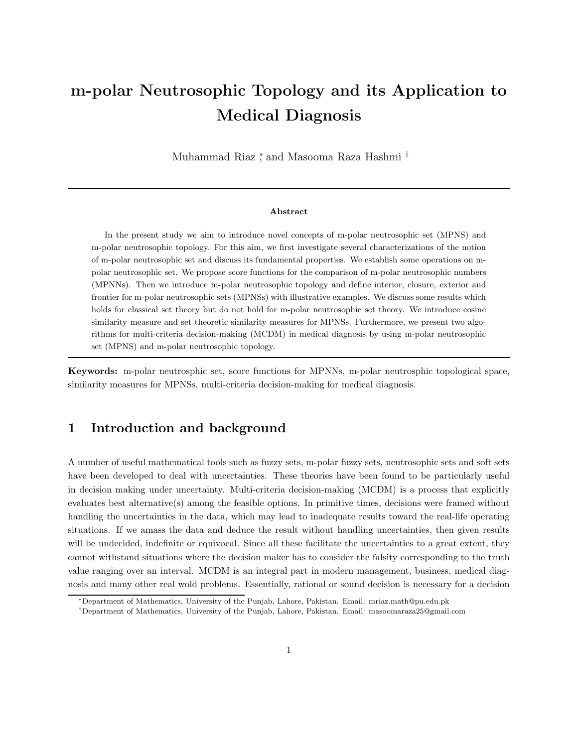# m-polar Neutrosophic Topology and its Application to Medical Diagnosis

Muhammad Riaz <sup>∗</sup> , and Masooma Raza Hashmi †

### Abstract

In the present study we aim to introduce novel concepts of m-polar neutrosophic set (MPNS) and m-polar neutrosophic topology. For this aim, we first investigate several characterizations of the notion of m-polar neutrosophic set and discuss its fundamental properties. We establish some operations on mpolar neutrosophic set. We propose score functions for the comparison of m-polar neutrosophic numbers (MPNNs). Then we introduce m-polar neutrosophic topology and define interior, closure, exterior and frontier for m-polar neutrosophic sets (MPNSs) with illustrative examples. We discuss some results which holds for classical set theory but do not hold for m-polar neutrosophic set theory. We introduce cosine similarity measure and set theoretic similarity measures for MPNSs. Furthermore, we present two algorithms for multi-criteria decision-making (MCDM) in medical diagnosis by using m-polar neutrosophic set (MPNS) and m-polar neutrosophic topology.

Keywords: m-polar neutrosphic set, score functions for MPNNs, m-polar neutrosphic topological space, similarity measures for MPNSs, multi-criteria decision-making for medical diagnosis.

# 1 Introduction and background

A number of useful mathematical tools such as fuzzy sets, m-polar fuzzy sets, neutrosophic sets and soft sets have been developed to deal with uncertainties. These theories have been found to be particularly useful in decision making under uncertainty. Multi-criteria decision-making (MCDM) is a process that explicitly evaluates best alternative(s) among the feasible options. In primitive times, decisions were framed without handling the uncertainties in the data, which may lead to inadequate results toward the real-life operating situations. If we amass the data and deduce the result without handling uncertainties, then given results will be undecided, indefinite or equivocal. Since all these facilitate the uncertainties to a great extent, they cannot withstand situations where the decision maker has to consider the falsity corresponding to the truth value ranging over an interval. MCDM is an integral part in modern management, business, medical diagnosis and many other real wold problems. Essentially, rational or sound decision is necessary for a decision

<sup>∗</sup>Department of Mathematics, University of the Punjab, Lahore, Pakistan. Email: mriaz.math@pu.edu.pk

<sup>†</sup>Department of Mathematics, University of the Punjab, Lahore, Pakistan. Email: masoomaraza25@gmail.com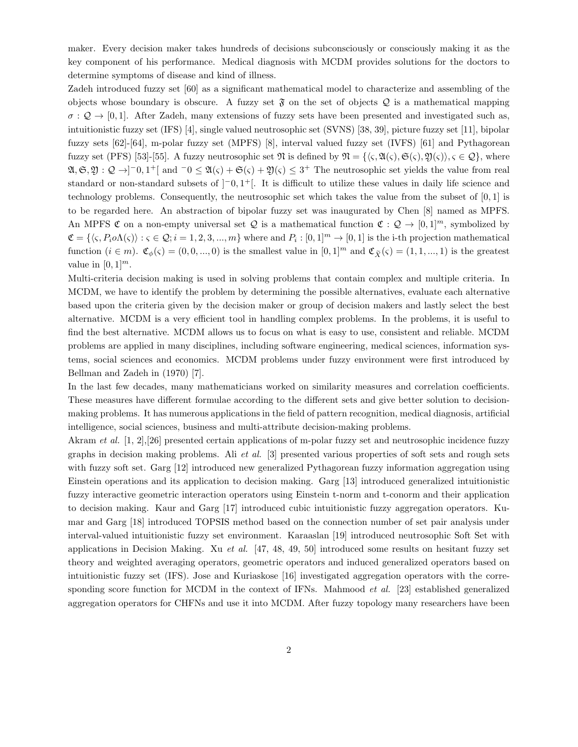maker. Every decision maker takes hundreds of decisions subconsciously or consciously making it as the key component of his performance. Medical diagnosis with MCDM provides solutions for the doctors to determine symptoms of disease and kind of illness.

Zadeh introduced fuzzy set [60] as a significant mathematical model to characterize and assembling of the objects whose boundary is obscure. A fuzzy set  $\mathfrak F$  on the set of objects  $\mathcal Q$  is a mathematical mapping  $\sigma : \mathcal{Q} \to [0,1]$ . After Zadeh, many extensions of fuzzy sets have been presented and investigated such as, intuitionistic fuzzy set (IFS) [4], single valued neutrosophic set (SVNS) [38, 39], picture fuzzy set [11], bipolar fuzzy sets [62]-[64], m-polar fuzzy set (MPFS) [8], interval valued fuzzy set (IVFS) [61] and Pythagorean fuzzy set (PFS) [53]-[55]. A fuzzy neutrosophic set  $\mathfrak{N}$  is defined by  $\mathfrak{N} = {\{\langle \varsigma, \mathfrak{A}(\varsigma), \mathfrak{S}(\varsigma), \mathfrak{D}(\varsigma) \rangle, \varsigma \in \mathcal{Q}\}}$ , where  $\mathfrak{A}, \mathfrak{S}, \mathfrak{Y} : \mathcal{Q} \rightarrow ]-0, 1^+[$  and  $-0 \leq \mathfrak{A}(\varsigma) + \mathfrak{S}(\varsigma) + \mathfrak{Y}(\varsigma) \leq 3^+$  The neutrosophic set yields the value from real standard or non-standard subsets of  $]$ <sup>-</sup>0, 1<sup>+</sup>[. It is difficult to utilize these values in daily life science and technology problems. Consequently, the neutrosophic set which takes the value from the subset of [0, 1] is to be regarded here. An abstraction of bipolar fuzzy set was inaugurated by Chen [8] named as MPFS. An MPFS C on a non-empty universal set Q is a mathematical function  $\mathfrak{C}: \mathcal{Q} \to [0,1]^m$ , symbolized by  $\mathfrak{C} = \{ \langle \varsigma, P_i o \Lambda(\varsigma) \rangle : \varsigma \in \mathcal{Q}; i = 1, 2, 3, ..., m \}$  where and  $P_i : [0, 1]^m \to [0, 1]$  is the i-th projection mathematical function  $(i \in m)$ .  $\mathfrak{C}_{\phi}(\varsigma) = (0, 0, \ldots, 0)$  is the smallest value in  $[0, 1]^m$  and  $\mathfrak{C}_{\tilde{\chi}}(\varsigma) = (1, 1, \ldots, 1)$  is the greatest value in  $[0, 1]^m$ .

Multi-criteria decision making is used in solving problems that contain complex and multiple criteria. In MCDM, we have to identify the problem by determining the possible alternatives, evaluate each alternative based upon the criteria given by the decision maker or group of decision makers and lastly select the best alternative. MCDM is a very efficient tool in handling complex problems. In the problems, it is useful to find the best alternative. MCDM allows us to focus on what is easy to use, consistent and reliable. MCDM problems are applied in many disciplines, including software engineering, medical sciences, information systems, social sciences and economics. MCDM problems under fuzzy environment were first introduced by Bellman and Zadeh in (1970) [7].

In the last few decades, many mathematicians worked on similarity measures and correlation coefficients. These measures have different formulae according to the different sets and give better solution to decisionmaking problems. It has numerous applications in the field of pattern recognition, medical diagnosis, artificial intelligence, social sciences, business and multi-attribute decision-making problems.

Akram et al. [1, 2],[26] presented certain applications of m-polar fuzzy set and neutrosophic incidence fuzzy graphs in decision making problems. Ali et al. [3] presented various properties of soft sets and rough sets with fuzzy soft set. Garg [12] introduced new generalized Pythagorean fuzzy information aggregation using Einstein operations and its application to decision making. Garg [13] introduced generalized intuitionistic fuzzy interactive geometric interaction operators using Einstein t-norm and t-conorm and their application to decision making. Kaur and Garg [17] introduced cubic intuitionistic fuzzy aggregation operators. Kumar and Garg [18] introduced TOPSIS method based on the connection number of set pair analysis under interval-valued intuitionistic fuzzy set environment. Karaaslan [19] introduced neutrosophic Soft Set with applications in Decision Making. Xu et al.  $[47, 48, 49, 50]$  introduced some results on hesitant fuzzy set theory and weighted averaging operators, geometric operators and induced generalized operators based on intuitionistic fuzzy set (IFS). Jose and Kuriaskose [16] investigated aggregation operators with the corresponding score function for MCDM in the context of IFNs. Mahmood *et al.* [23] established generalized aggregation operators for CHFNs and use it into MCDM. After fuzzy topology many researchers have been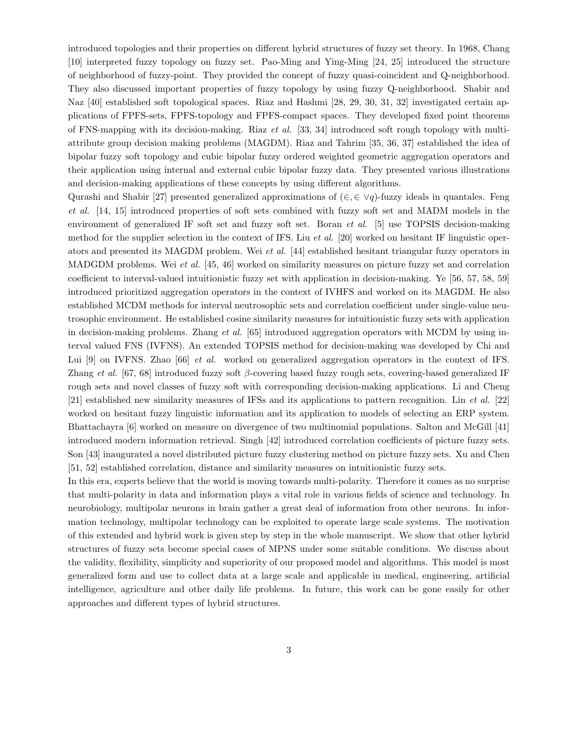introduced topologies and their properties on different hybrid structures of fuzzy set theory. In 1968, Chang [10] interpreted fuzzy topology on fuzzy set. Pao-Ming and Ying-Ming [24, 25] introduced the structure of neighborhood of fuzzy-point. They provided the concept of fuzzy quasi-coincident and Q-neighborhood. They also discussed important properties of fuzzy topology by using fuzzy Q-neighborhood. Shabir and Naz [40] established soft topological spaces. Riaz and Hashmi [28, 29, 30, 31, 32] investigated certain applications of FPFS-sets, FPFS-topology and FPFS-compact spaces. They developed fixed point theorems of FNS-mapping with its decision-making. Riaz et al. [33, 34] introduced soft rough topology with multiattribute group decision making problems (MAGDM). Riaz and Tahrim [35, 36, 37] established the idea of bipolar fuzzy soft topology and cubic bipolar fuzzy ordered weighted geometric aggregation operators and their application using internal and external cubic bipolar fuzzy data. They presented various illustrations and decision-making applications of these concepts by using different algorithms.

Qurashi and Shabir [27] presented generalized approximations of  $(\in, \in \vee q)$ -fuzzy ideals in quantales. Feng et al. [14, 15] introduced properties of soft sets combined with fuzzy soft set and MADM models in the environment of generalized IF soft set and fuzzy soft set. Boran et al. [5] use TOPSIS decision-making method for the supplier selection in the context of IFS. Liu *et al.* [20] worked on hesitant IF linguistic operators and presented its MAGDM problem. Wei et al. [44] established hesitant triangular fuzzy operators in MADGDM problems. Wei et al. [45, 46] worked on similarity measures on picture fuzzy set and correlation coefficient to interval-valued intuitionistic fuzzy set with application in decision-making. Ye [56, 57, 58, 59] introduced prioritized aggregation operators in the context of IVHFS and worked on its MAGDM. He also established MCDM methods for interval neutrosophic sets and correlation coefficient under single-value neutrosophic environment. He established cosine similarity measures for intuitionistic fuzzy sets with application in decision-making problems. Zhang et al. [65] introduced aggregation operators with MCDM by using interval valued FNS (IVFNS). An extended TOPSIS method for decision-making was developed by Chi and Lui [9] on IVFNS. Zhao [66] *et al.* worked on generalized aggregation operators in the context of IFS. Zhang et al. [67, 68] introduced fuzzy soft  $\beta$ -covering based fuzzy rough sets, covering-based generalized IF rough sets and novel classes of fuzzy soft with corresponding decision-making applications. Li and Cheng [21] established new similarity measures of IFSs and its applications to pattern recognition. Lin et al. [22] worked on hesitant fuzzy linguistic information and its application to models of selecting an ERP system. Bhattachayra [6] worked on measure on divergence of two multinomial populations. Salton and McGill [41] introduced modern information retrieval. Singh [42] introduced correlation coefficients of picture fuzzy sets. Son [43] inaugurated a novel distributed picture fuzzy clustering method on picture fuzzy sets. Xu and Chen [51, 52] established correlation, distance and similarity measures on intuitionistic fuzzy sets.

In this era, experts believe that the world is moving towards multi-polarity. Therefore it comes as no surprise that multi-polarity in data and information plays a vital role in various fields of science and technology. In neurobiology, multipolar neurons in brain gather a great deal of information from other neurons. In information technology, multipolar technology can be exploited to operate large scale systems. The motivation of this extended and hybrid work is given step by step in the whole manuscript. We show that other hybrid structures of fuzzy sets become special cases of MPNS under some suitable conditions. We discuss about the validity, flexibility, simplicity and superiority of our proposed model and algorithms. This model is most generalized form and use to collect data at a large scale and applicable in medical, engineering, artificial intelligence, agriculture and other daily life problems. In future, this work can be gone easily for other approaches and different types of hybrid structures.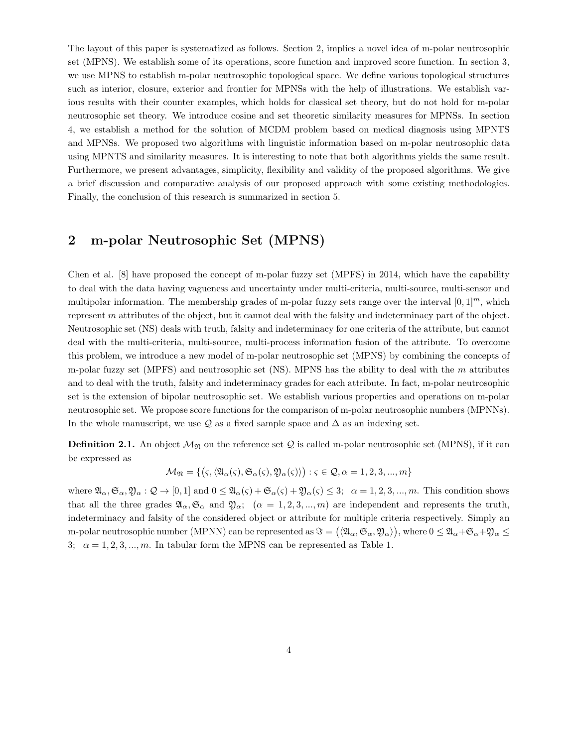The layout of this paper is systematized as follows. Section 2, implies a novel idea of m-polar neutrosophic set (MPNS). We establish some of its operations, score function and improved score function. In section 3, we use MPNS to establish m-polar neutrosophic topological space. We define various topological structures such as interior, closure, exterior and frontier for MPNSs with the help of illustrations. We establish various results with their counter examples, which holds for classical set theory, but do not hold for m-polar neutrosophic set theory. We introduce cosine and set theoretic similarity measures for MPNSs. In section 4, we establish a method for the solution of MCDM problem based on medical diagnosis using MPNTS and MPNSs. We proposed two algorithms with linguistic information based on m-polar neutrosophic data using MPNTS and similarity measures. It is interesting to note that both algorithms yields the same result. Furthermore, we present advantages, simplicity, flexibility and validity of the proposed algorithms. We give a brief discussion and comparative analysis of our proposed approach with some existing methodologies. Finally, the conclusion of this research is summarized in section 5.

# 2 m-polar Neutrosophic Set (MPNS)

Chen et al. [8] have proposed the concept of m-polar fuzzy set (MPFS) in 2014, which have the capability to deal with the data having vagueness and uncertainty under multi-criteria, multi-source, multi-sensor and multipolar information. The membership grades of m-polar fuzzy sets range over the interval  $[0, 1]^m$ , which represent m attributes of the object, but it cannot deal with the falsity and indeterminacy part of the object. Neutrosophic set (NS) deals with truth, falsity and indeterminacy for one criteria of the attribute, but cannot deal with the multi-criteria, multi-source, multi-process information fusion of the attribute. To overcome this problem, we introduce a new model of m-polar neutrosophic set (MPNS) by combining the concepts of m-polar fuzzy set (MPFS) and neutrosophic set (NS). MPNS has the ability to deal with the m attributes and to deal with the truth, falsity and indeterminacy grades for each attribute. In fact, m-polar neutrosophic set is the extension of bipolar neutrosophic set. We establish various properties and operations on m-polar neutrosophic set. We propose score functions for the comparison of m-polar neutrosophic numbers (MPNNs). In the whole manuscript, we use  $\mathcal Q$  as a fixed sample space and  $\Delta$  as an indexing set.

**Definition 2.1.** An object  $\mathcal{M}_{\mathfrak{N}}$  on the reference set Q is called m-polar neutrosophic set (MPNS), if it can be expressed as

$$
\mathcal{M}_{\mathfrak{N}} = \{ (\varsigma, \langle \mathfrak{A}_{\alpha}(\varsigma), \mathfrak{S}_{\alpha}(\varsigma), \mathfrak{Y}_{\alpha}(\varsigma) \rangle) : \varsigma \in \mathcal{Q}, \alpha = 1, 2, 3, ..., m \}
$$

where  $\mathfrak{A}_{\alpha}, \mathfrak{S}_{\alpha}, \mathfrak{Y}_{\alpha} : \mathcal{Q} \to [0,1]$  and  $0 \leq \mathfrak{A}_{\alpha}(\varsigma) + \mathfrak{S}_{\alpha}(\varsigma) + \mathfrak{Y}_{\alpha}(\varsigma) \leq 3$ ;  $\alpha = 1,2,3,...,m$ . This condition shows that all the three grades  $\mathfrak{A}_{\alpha}, \mathfrak{S}_{\alpha}$  and  $\mathfrak{Y}_{\alpha}$ ;  $(\alpha = 1, 2, 3, ..., m)$  are independent and represents the truth, indeterminacy and falsity of the considered object or attribute for multiple criteria respectively. Simply an m-polar neutrosophic number (MPNN) can be represented as  $\Im = (\langle \mathfrak{A}_{\alpha}, \mathfrak{S}_{\alpha}, \mathfrak{Y}_{\alpha} \rangle)$ , where  $0 \leq \mathfrak{A}_{\alpha} + \mathfrak{S}_{\alpha} + \mathfrak{Y}_{\alpha} \leq$ 3;  $\alpha = 1, 2, 3, ..., m$ . In tabular form the MPNS can be represented as Table 1.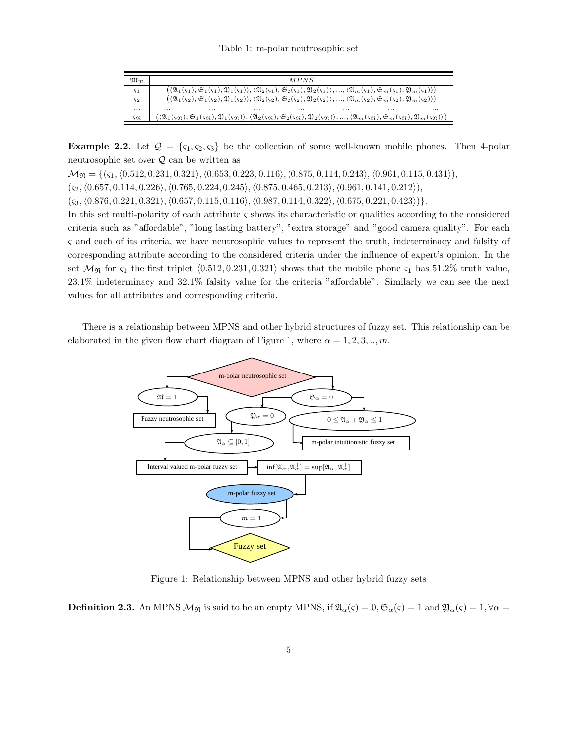| $\mathfrak{M}_{\mathfrak{N}}$ | MPNS                                                                                                                                                                                                                                                                                                                                                                                                                                             |
|-------------------------------|--------------------------------------------------------------------------------------------------------------------------------------------------------------------------------------------------------------------------------------------------------------------------------------------------------------------------------------------------------------------------------------------------------------------------------------------------|
| $\varsigma_1$                 | $(\langle \mathfrak{A}_1(\varsigma_1), \mathfrak{S}_1(\varsigma_1), \mathfrak{Y}_1(\varsigma_1) \rangle, \langle \mathfrak{A}_2(\varsigma_1), \mathfrak{S}_2(\varsigma_1), \mathfrak{Y}_2(\varsigma_1) \rangle, , \langle \mathfrak{A}_m(\varsigma_1), \mathfrak{S}_m(\varsigma_1), \mathfrak{Y}_m(\varsigma_1) \rangle)$                                                                                                                        |
| ς2                            | $(\langle \mathfrak{A}_1(\varsigma_2), \mathfrak{S}_1(\varsigma_2), \mathfrak{Y}_1(\varsigma_2) \rangle, \langle \mathfrak{A}_2(\varsigma_2), \mathfrak{S}_2(\varsigma_2), \mathfrak{Y}_2(\varsigma_2) \rangle, , \langle \mathfrak{A}_m(\varsigma_2), \mathfrak{S}_m(\varsigma_2), \mathfrak{Y}_m(\varsigma_2) \rangle)$                                                                                                                        |
| .                             | $\cdots$<br>$\cdots$<br>$\cdots$<br>$\cdots$<br>$\cdots$<br>$\cdots$                                                                                                                                                                                                                                                                                                                                                                             |
| ςsτ                           | $\langle \mathfrak{A}_1(\varsigma_{\mathfrak{N}}), \mathfrak{S}_1(\varsigma_{\mathfrak{N}}), \mathfrak{Y}_1(\varsigma_{\mathfrak{N}})\rangle, \langle \mathfrak{A}_2(\varsigma_{\mathfrak{N}}), \mathfrak{S}_2(\varsigma_{\mathfrak{N}}), \mathfrak{Y}_2(\varsigma_{\mathfrak{N}})\rangle, , \langle \mathfrak{A}_m(\varsigma_{\mathfrak{N}}), \mathfrak{S}_m(\varsigma_{\mathfrak{N}}), \mathfrak{Y}_m(\varsigma_{\mathfrak{N}})\rangle\rangle$ |

**Example 2.2.** Let  $\mathcal{Q} = \{ \zeta_1, \zeta_2, \zeta_3 \}$  be the collection of some well-known mobile phones. Then 4-polar neutrosophic set over Q can be written as

 $\mathcal{M}_{\mathfrak{N}} = \{(\varsigma_1,\langle 0.512, 0.231, 0.321\rangle, \langle 0.653, 0.223, 0.116\rangle, \langle 0.875, 0.114, 0.243\rangle, \langle 0.961, 0.115, 0.431\rangle),\}$ 

 $(\varsigma_2,\langle 0.657, 0.114, 0.226\rangle, \langle 0.765, 0.224, 0.245\rangle, \langle 0.875, 0.465, 0.213\rangle, \langle 0.961, 0.141, 0.212\rangle),$ 

 $(\varsigma_3,\langle 0.876, 0.221, 0.321\rangle, \langle 0.657, 0.115, 0.116\rangle, \langle 0.987, 0.114, 0.322\rangle, \langle 0.675, 0.221, 0.423\rangle)\}.$ 

In this set multi-polarity of each attribute  $\varsigma$  shows its characteristic or qualities according to the considered criteria such as "affordable", "long lasting battery", "extra storage" and "good camera quality". For each ς and each of its criteria, we have neutrosophic values to represent the truth, indeterminacy and falsity of corresponding attribute according to the considered criteria under the influence of expert's opinion. In the set  $\mathcal{M}_{\mathfrak{N}}$  for  $\varsigma_1$  the first triplet  $\langle 0.512, 0.231, 0.321 \rangle$  shows that the mobile phone  $\varsigma_1$  has 51.2% truth value, 23.1% indeterminacy and 32.1% falsity value for the criteria "affordable". Similarly we can see the next values for all attributes and corresponding criteria.

There is a relationship between MPNS and other hybrid structures of fuzzy set. This relationship can be elaborated in the given flow chart diagram of Figure 1, where  $\alpha = 1, 2, 3, ..., m$ .



Figure 1: Relationship between MPNS and other hybrid fuzzy sets

**Definition 2.3.** An MPNS  $M_{\mathfrak{N}}$  is said to be an empty MPNS, if  $\mathfrak{A}_{\alpha}(\varsigma) = 0$ ,  $\mathfrak{S}_{\alpha}(\varsigma) = 1$  and  $\mathfrak{Y}_{\alpha}(\varsigma) = 1$ ,  $\forall \alpha =$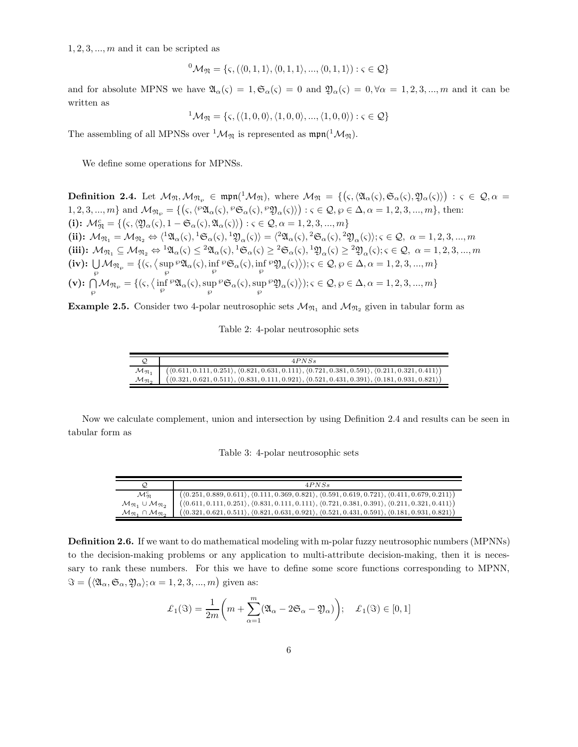$1, 2, 3, \ldots, m$  and it can be scripted as

$$
{}^{0}\mathcal{M}_{\mathfrak{N}} = \{ \varsigma, (\langle 0, 1, 1 \rangle, \langle 0, 1, 1 \rangle, ..., \langle 0, 1, 1 \rangle) : \varsigma \in \mathcal{Q} \}
$$

and for absolute MPNS we have  $\mathfrak{A}_{\alpha}(\varsigma) = 1, \mathfrak{S}_{\alpha}(\varsigma) = 0$  and  $\mathfrak{Y}_{\alpha}(\varsigma) = 0, \forall \alpha = 1, 2, 3, ..., m$  and it can be written as

$$
{}^{1}\mathcal{M}_{\mathfrak{N}} = \{ \varsigma, (\langle 1,0,0 \rangle, \langle 1,0,0 \rangle,...,\langle 1,0,0 \rangle) : \varsigma \in \mathcal{Q} \}
$$

The assembling of all MPNSs over  ${}^1\mathcal{M}_{\mathfrak{N}}$  is represented as  $\mathfrak{mpn}({}^1\mathcal{M}_{\mathfrak{N}})$ .

We define some operations for MPNSs.

**Definition 2.4.** Let  $M_{\mathfrak{N}},\mathcal{M}_{\mathfrak{N}_{\wp}} \in \mathfrak{mpn}(^1\mathcal{M}_{\mathfrak{N}})$ , where  $\mathcal{M}_{\mathfrak{N}} = \{(\varsigma, \langle \mathfrak{A}_{\alpha}(\varsigma), \mathfrak{S}_{\alpha}(\varsigma), \mathfrak{Y}_{\alpha}(\varsigma) \rangle) : \varsigma \in \mathcal{Q}, \alpha =$  $\{1, 2, 3, ..., m\}$  and  $\mathcal{M}_{\mathfrak{N}_{\wp}} = \{(\varsigma, \langle ^{\wp}\mathfrak{A}_{\alpha}(\varsigma), {^{\wp}\mathfrak{S}_{\alpha}}(\varsigma), {^{\wp}\mathfrak{Y}_{\alpha}}(\varsigma) \rangle) : \varsigma \in \mathcal{Q}, \wp \in \Delta, \alpha = 1, 2, 3, ..., m\},\$  then: (i):  $\mathcal{M}_{\mathfrak{N}}^c = \{(\varsigma, \langle \mathfrak{Y}_{\alpha}(\varsigma), 1 - \mathfrak{S}_{\alpha}(\varsigma), \mathfrak{A}_{\alpha}(\varsigma) \rangle) : \varsigma \in \mathcal{Q}, \alpha = 1, 2, 3, ..., m\}$ (ii):  $M_{\mathfrak{N}_1} = M_{\mathfrak{N}_2} \Leftrightarrow \langle {}^1\mathfrak{A}_{\alpha}(\varsigma), {}^1\mathfrak{G}_{\alpha}(\varsigma), {}^1\mathfrak{Y}_{\alpha}(\varsigma) \rangle = \langle {}^2\mathfrak{A}_{\alpha}(\varsigma), {}^2\mathfrak{G}_{\alpha}(\varsigma), {}^2\mathfrak{Y}_{\alpha}(\varsigma) \rangle; \varsigma \in \mathcal{Q}, \ \alpha = 1, 2, 3, ..., m$ (iii):  $\mathcal{M}_{\mathfrak{N}_1} \subseteq \mathcal{M}_{\mathfrak{N}_2} \Leftrightarrow 1\mathfrak{A}_{\alpha}(\varsigma) \leq 2\mathfrak{A}_{\alpha}(\varsigma), 1\mathfrak{S}_{\alpha}(\varsigma) \geq 2\mathfrak{S}_{\alpha}(\varsigma), 1\mathfrak{Y}_{\alpha}(\varsigma) \geq 2\mathfrak{Y}_{\alpha}(\varsigma); \varsigma \in \mathcal{Q}, \ \alpha = 1, 2, 3, ..., m$  $\textbf{(iv):}\ \bigcup_{\wp}\mathcal{M}_{\mathfrak{N}_{\wp}}=\{(\varsigma,\big\langle\sup_{\wp}\,{}^{\wp}\mathfrak{A}_{\alpha}(\varsigma),\inf_{\wp}\,{}^{\wp}\mathfrak{S}_{\alpha}(\varsigma),\inf_{\wp}\,{}^{\wp}\mathfrak{Y}_{\alpha}(\varsigma)\big\rangle); \varsigma\in\mathcal{Q},\ \wp\in\Delta,\alpha=1,2,3,...,m\}$  $(\mathbf{v})$ :  $\bigcap_{\wp} \mathcal{M}_{\mathfrak{N}_{\wp}} = \{ (\varsigma, \langle \inf_{\wp} {}^{\wp} \mathfrak{A}_{\alpha}(\varsigma), \sup_{\wp} {}^{\wp} \mathfrak{S}_{\alpha}(\varsigma), \sup_{\wp} {}^{\wp} \mathfrak{Y}_{\alpha}(\varsigma) \rangle \}; \varsigma \in \mathcal{Q}, \wp \in \Delta, \alpha = 1, 2, 3, ..., m \}$ 

**Example 2.5.** Consider two 4-polar neutrosophic sets  $\mathcal{M}_{\mathfrak{N}_1}$  and  $\mathcal{M}_{\mathfrak{N}_2}$  given in tabular form as

Table 2: 4-polar neutrosophic sets

|                                  | 4PNSs                                                                                                                                                                                                      |
|----------------------------------|------------------------------------------------------------------------------------------------------------------------------------------------------------------------------------------------------------|
|                                  | $\mathcal{M}_{\mathfrak{N}_1} \quad \  \  \left(\langle 0.611, 0.111, 0.251 \rangle, \langle 0.821, 0.631, 0.111 \rangle, \langle 0.721, 0.381, 0.591 \rangle, \langle 0.211, 0.321, 0.411 \rangle\right)$ |
| $\mathcal{M}_{\mathfrak{N}_{2}}$ | $(\langle 0.321, 0.621, 0.511 \rangle, \langle 0.831, 0.111, 0.921 \rangle, \langle 0.521, 0.431, 0.391 \rangle, \langle 0.181, 0.931, 0.821 \rangle)$                                                     |

Now we calculate complement, union and intersection by using Definition 2.4 and results can be seen in tabular form as

Table 3: 4-polar neutrosophic sets

| رپ                                                               | 4PNSs                                                                                                                                                       |
|------------------------------------------------------------------|-------------------------------------------------------------------------------------------------------------------------------------------------------------|
| $\mathcal{M}_{\mathfrak{m}}^c$                                   | $((0.251, 0.889, 0.611), (0.111, 0.369, 0.821), (0.591, 0.619, 0.721), (0.411, 0.679, 0.211))$                                                              |
| $M_{\mathfrak{N}_1} \cup M_{\mathfrak{N}_2}$                     | $\big(\langle 0.611, 0.111, 0.251\rangle, \langle 0.831, 0.111, 0.111\rangle, \langle 0.721, 0.381, 0.391\rangle, \langle 0.211, 0.321, 0.411\rangle \big)$ |
| $\mathcal{M}_{\mathfrak{N}_1} \cap \mathcal{M}_{\mathfrak{N}_2}$ | $((0.321, 0.621, 0.511), (0.821, 0.631, 0.921), (0.521, 0.431, 0.591), (0.181, 0.931, 0.821))$                                                              |

Definition 2.6. If we want to do mathematical modeling with m-polar fuzzy neutrosophic numbers (MPNNs) to the decision-making problems or any application to multi-attribute decision-making, then it is necessary to rank these numbers. For this we have to define some score functions corresponding to MPNN,  $\Im = (\langle \mathfrak{A}_{\alpha}, \mathfrak{S}_{\alpha}, \mathfrak{Y}_{\alpha} \rangle; \alpha = 1, 2, 3, ..., m)$  given as:

$$
\mathcal{L}_1(\Im) = \frac{1}{2m} \bigg( m + \sum_{\alpha=1}^m (\mathfrak{A}_{\alpha} - 2\mathfrak{S}_{\alpha} - \mathfrak{Y}_{\alpha}) \bigg); \quad \mathcal{L}_1(\Im) \in [0, 1]
$$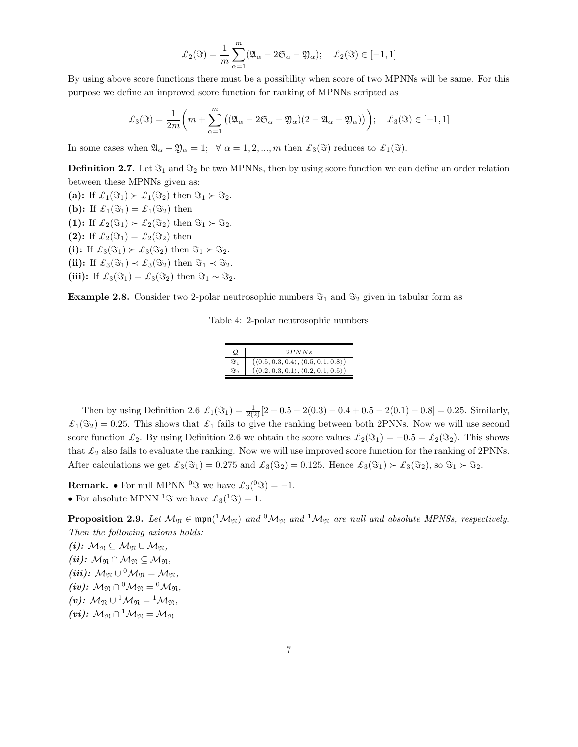$$
\mathcal{L}_2(\Im) = \frac{1}{m} \sum_{\alpha=1}^m (\mathfrak{A}_{\alpha} - 2\mathfrak{S}_{\alpha} - \mathfrak{Y}_{\alpha}); \quad \mathcal{L}_2(\Im) \in [-1, 1]
$$

By using above score functions there must be a possibility when score of two MPNNs will be same. For this purpose we define an improved score function for ranking of MPNNs scripted as

$$
\mathcal{L}_3(\Im) = \frac{1}{2m} \bigg( m + \sum_{\alpha=1}^m \big( (\mathfrak{A}_{\alpha} - 2\mathfrak{S}_{\alpha} - \mathfrak{Y}_{\alpha})(2 - \mathfrak{A}_{\alpha} - \mathfrak{Y}_{\alpha}) \big) \bigg); \quad \mathcal{L}_3(\Im) \in [-1, 1]
$$

In some cases when  $\mathfrak{A}_{\alpha} + \mathfrak{Y}_{\alpha} = 1; \forall \alpha = 1, 2, ..., m$  then  $\mathcal{L}_3(\Im)$  reduces to  $\mathcal{L}_1(\Im)$ .

**Definition 2.7.** Let  $\Im_1$  and  $\Im_2$  be two MPNNs, then by using score function we can define an order relation between these MPNNs given as:

(a): If  $\mathcal{L}_1(\Im_1) \succ \mathcal{L}_1(\Im_2)$  then  $\Im_1 \succ \Im_2$ . (b): If  $\mathcal{L}_1(\Im_1) = \mathcal{L}_1(\Im_2)$  then (1): If  $\mathcal{L}_2(\Im_1) \succ \mathcal{L}_2(\Im_2)$  then  $\Im_1 \succ \Im_2$ . (2): If  $\mathcal{L}_2(\Im_1) = \mathcal{L}_2(\Im_2)$  then (i): If  $\mathcal{L}_3(\Im_1) \succ \mathcal{L}_3(\Im_2)$  then  $\Im_1 \succ \Im_2$ . (ii): If  $\mathcal{L}_3(\Im_1) \prec \mathcal{L}_3(\Im_2)$  then  $\Im_1 \prec \Im_2$ . (iii): If  $\mathcal{L}_3(\Im_1) = \mathcal{L}_3(\Im_2)$  then  $\Im_1 \sim \Im_2$ .

**Example 2.8.** Consider two 2-polar neutrosophic numbers  $\Im_1$  and  $\Im_2$  given in tabular form as

Table 4: 2-polar neutrosophic numbers

| 2PNNs                                                            |
|------------------------------------------------------------------|
| $(\langle 0.5, 0.3, 0.4 \rangle, \langle 0.5, 0.1, 0.8 \rangle)$ |
| $(\langle 0.2, 0.3, 0.1 \rangle, \langle 0.2, 0.1, 0.5 \rangle)$ |

Then by using Definition 2.6  $\mathcal{L}_1(\Im_1) = \frac{1}{2(2)} [2 + 0.5 - 2(0.3) - 0.4 + 0.5 - 2(0.1) - 0.8] = 0.25$ . Similarly,  $\mathcal{L}_1(\Im_2) = 0.25$ . This shows that  $\mathcal{L}_1$  fails to give the ranking between both 2PNNs. Now we will use second score function  $\mathcal{L}_2$ . By using Definition 2.6 we obtain the score values  $\mathcal{L}_2(\Im_1) = -0.5 = \mathcal{L}_2(\Im_2)$ . This shows that  $\mathcal{L}_2$  also fails to evaluate the ranking. Now we will use improved score function for the ranking of 2PNNs. After calculations we get  $\mathcal{L}_3(\Im_1) = 0.275$  and  $\mathcal{L}_3(\Im_2) = 0.125$ . Hence  $\mathcal{L}_3(\Im_1) \succ \mathcal{L}_3(\Im_2)$ , so  $\Im_1 \succ \Im_2$ .

**Remark.** • For null MPNN <sup>0</sup> $\Im$  we have  $\mathcal{L}_3(^{0}\Im) = -1$ . • For absolute MPNN <sup>1</sup> $\Im$  we have  $\mathcal{L}_3(^1\Im) = 1$ .

**Proposition 2.9.** Let  $M_{\mathfrak{N}} \in \text{mpn}(M_{\mathfrak{N}})$  and  $^0M_{\mathfrak{N}}$  and  $^1M_{\mathfrak{N}}$  are null and absolute MPNSs, respectively. Then the following axioms holds:

(i):  $M_{\mathfrak{N}} \subseteq M_{\mathfrak{N}} \cup M_{\mathfrak{N}}$ , (ii):  $\mathcal{M}_{\mathfrak{N}} \cap \mathcal{M}_{\mathfrak{N}} \subseteq \mathcal{M}_{\mathfrak{N}}$ , (*iii*):  $M_{\mathfrak{N}} \cup {}^{0}M_{\mathfrak{N}} = M_{\mathfrak{N}},$  $(iv): \mathcal{M}_{\mathfrak{N}} \cap {}^{0}\mathcal{M}_{\mathfrak{N}} = {}^{0}\mathcal{M}_{\mathfrak{N}},$  $(v): \mathcal{M}_{\mathfrak{N}} \cup {}^{1}\mathcal{M}_{\mathfrak{N}} = {}^{1}\mathcal{M}_{\mathfrak{N}},$  $(vi)$ :  $\mathcal{M}_{\mathfrak{N}} \cap {}^1\mathcal{M}_{\mathfrak{N}} = \mathcal{M}_{\mathfrak{N}}$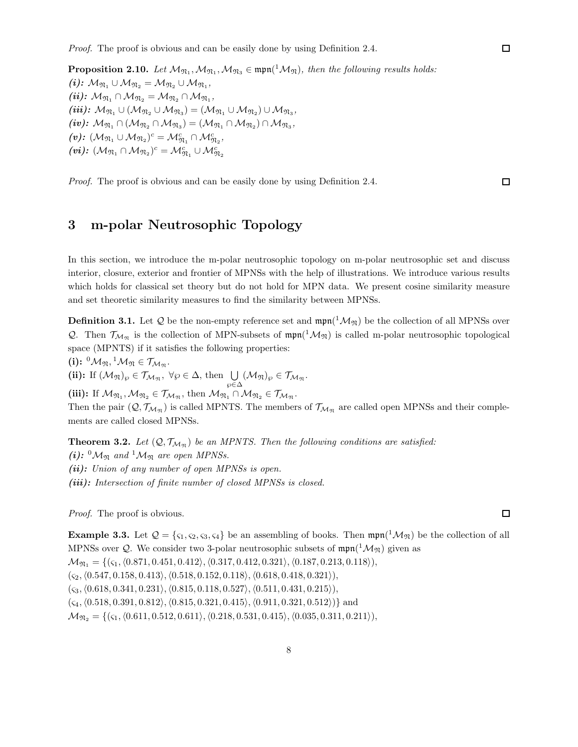**Proposition 2.10.** Let  $M_{\mathfrak{N}_1}, M_{\mathfrak{N}_1}, M_{\mathfrak{N}_3} \in \mathfrak{mpn}(^1\mathcal{M}_{\mathfrak{N}})$ , then the following results holds:  $(i): \mathcal{M}_{\mathfrak{N}_1} \cup \mathcal{M}_{\mathfrak{N}_2} = \mathcal{M}_{\mathfrak{N}_2} \cup \mathcal{M}_{\mathfrak{N}_1},$  $(ii): \mathcal{M}_{\mathfrak{N}_1} \cap \mathcal{M}_{\mathfrak{N}_2} = \mathcal{M}_{\mathfrak{N}_2} \cap \mathcal{M}_{\mathfrak{N}_1},$  $(iii): \mathcal{M}_{\mathfrak{N}_1} \cup (\mathcal{M}_{\mathfrak{N}_2} \cup \mathcal{M}_{\mathfrak{N}_3}) = (\mathcal{M}_{\mathfrak{N}_1} \cup \mathcal{M}_{\mathfrak{N}_2}) \cup \mathcal{M}_{\mathfrak{N}_3},$  $(iv)\colon \mathcal{M}_{\mathfrak{N}_1} \cap (\mathcal{M}_{\mathfrak{N}_2} \cap \mathcal{M}_{\mathfrak{N}_3}) = (\mathcal{M}_{\mathfrak{N}_1} \cap \mathcal{M}_{\mathfrak{N}_2}) \cap \mathcal{M}_{\mathfrak{N}_3},$  $(v)\colon (\mathcal{M}_{\mathfrak{N}_1}\cup\mathcal{M}_{\mathfrak{N}_2})^c=\mathcal{M}_{\mathfrak{N}_1}^c\cap\mathcal{M}_{\mathfrak{N}_2}^c,$  $(vi) \colon (\mathcal{M}_{\mathfrak{N}_1} \cap \mathcal{M}_{\mathfrak{N}_2})^c = \mathcal{M}_{\mathfrak{N}_1}^c \cup \mathcal{M}_{\mathfrak{N}_2}^c$ 

Proof. The proof is obvious and can be easily done by using Definition 2.4.

# 3 m-polar Neutrosophic Topology

In this section, we introduce the m-polar neutrosophic topology on m-polar neutrosophic set and discuss interior, closure, exterior and frontier of MPNSs with the help of illustrations. We introduce various results which holds for classical set theory but do not hold for MPN data. We present cosine similarity measure and set theoretic similarity measures to find the similarity between MPNSs.

**Definition 3.1.** Let  $Q$  be the non-empty reference set and  $\text{mpm}(^1\mathcal{M}_{\mathfrak{N}})$  be the collection of all MPNSs over Q. Then  $\mathcal{T}_{\mathcal{M}_{\mathfrak{N}}}$  is the collection of MPN-subsets of  $\mathfrak{m} \mathfrak{p} \mathfrak{n}$  (1 $\mathcal{M}_{\mathfrak{N}}$ ) is called m-polar neutrosophic topological space (MPNTS) if it satisfies the following properties:

(i): 
$$
{}^0\mathcal{M}_{\mathfrak{N}}, {}^1\mathcal{M}_{\mathfrak{N}} \in \mathcal{T}_{\mathcal{M}_{\mathfrak{N}}}.
$$

(ii): If  $(M_{\mathfrak{N}})_{\wp} \in \mathcal{T}_{\mathcal{M}_{\mathfrak{N}}}, \ \forall \wp \in \Delta, \text{ then } \bigcup_{\wp \in \Delta} (M_{\mathfrak{N}})_{\wp} \in \mathcal{T}_{\mathcal{M}_{\mathfrak{N}}}$ .

(iii): If  $M_{\mathfrak{N}_1}, \mathcal{M}_{\mathfrak{N}_2} \in \mathcal{T}_{\mathcal{M}_{\mathfrak{N}}},$  then  $\mathcal{M}_{\mathfrak{N}_1} \cap \mathcal{M}_{\mathfrak{N}_2} \in \mathcal{T}_{\mathcal{M}_{\mathfrak{N}}}$ .

Then the pair  $(Q, \mathcal{T}_{\mathcal{M}_{\mathfrak{N}}})$  is called MPNTS. The members of  $\mathcal{T}_{\mathcal{M}_{\mathfrak{N}}}$  are called open MPNSs and their complements are called closed MPNSs.

**Theorem 3.2.** Let  $(Q, \mathcal{T}_{\mathcal{M}_m})$  be an MPNTS. Then the following conditions are satisfied: (i):  ${}^{0}\mathcal{M}_{\mathfrak{N}}$  and  ${}^{1}\mathcal{M}_{\mathfrak{N}}$  are open MPNSs.  $(ii):$  Union of any number of open MPNSs is open. (iii): Intersection of finite number of closed MPNSs is closed.

Proof. The proof is obvious.

**Example 3.3.** Let  $\mathcal{Q} = \{\zeta_1, \zeta_2, \zeta_3, \zeta_4\}$  be an assembling of books. Then  $\text{min}(^1\mathcal{M}_{\mathfrak{N}})$  be the collection of all MPNSs over  $Q$ . We consider two 3-polar neutrosophic subsets of  $\mathfrak{mpn}(^1\mathcal{M}_{\mathfrak{N}})$  given as  $\mathcal{M}_{\mathfrak{N}_1} = \{(\varsigma_1,\langle 0.871, 0.451, 0.412 \rangle,\langle 0.317, 0.412, 0.321 \rangle,\langle 0.187, 0.213, 0.118 \rangle),$  $(\varsigma_2,\langle 0.547, 0.158, 0.413 \rangle, \langle 0.518, 0.152, 0.118 \rangle, \langle 0.618, 0.418, 0.321 \rangle),$  $(\varsigma_3, \langle 0.618, 0.341, 0.231 \rangle, \langle 0.815, 0.118, 0.527 \rangle, \langle 0.511, 0.431, 0.215 \rangle),$  $(\varsigma_4, \langle 0.518, 0.391, 0.812 \rangle, \langle 0.815, 0.321, 0.415 \rangle, \langle 0.911, 0.321, 0.512 \rangle)$  and  $\mathcal{M}_{\mathfrak{N}_2} = \{(\zeta_1,\langle 0.611, 0.512, 0.611\rangle, \langle 0.218, 0.531, 0.415\rangle, \langle 0.035, 0.311, 0.211\rangle),\right.$ 

 $\Box$ 

## $\Box$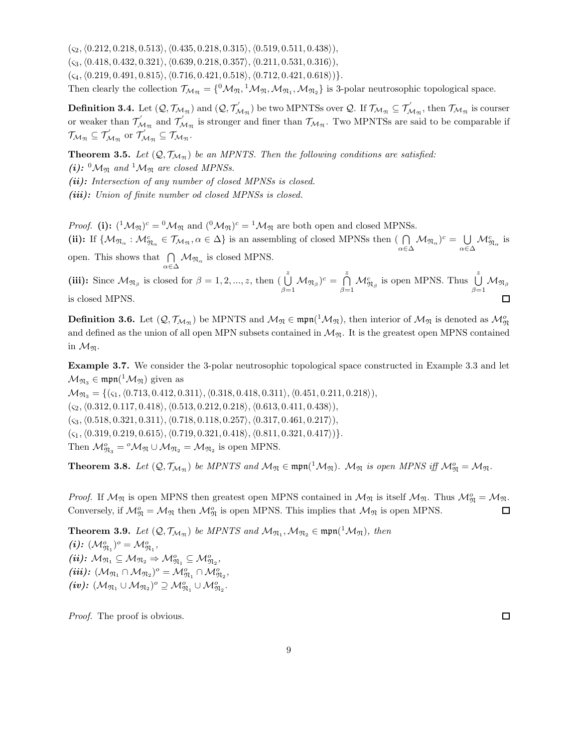$(\varsigma_2,\langle 0.212, 0.218, 0.513 \rangle, \langle 0.435, 0.218, 0.315 \rangle, \langle 0.519, 0.511, 0.438 \rangle),$ 

 $(\varsigma_3, \langle 0.418, 0.432, 0.321 \rangle, \langle 0.639, 0.218, 0.357 \rangle, \langle 0.211, 0.531, 0.316 \rangle),$ 

 $(\varsigma_4,\langle 0.219, 0.491, 0.815\rangle, \langle 0.716, 0.421, 0.518\rangle, \langle 0.712, 0.421, 0.618\rangle)\}.$ 

Then clearly the collection  $\mathcal{T}_{\mathcal{M}_{\mathfrak{N}}} = \{^0 \mathcal{M}_{\mathfrak{N}},^1 \mathcal{M}_{\mathfrak{N}}, \mathcal{M}_{\mathfrak{N}_1}, \mathcal{M}_{\mathfrak{N}_2} \}$  is 3-polar neutrosophic topological space.

**Definition 3.4.** Let  $(Q, \mathcal{T}_{\mathcal{M}_{\mathfrak{N}}})$  and  $(Q, \mathcal{T}'_{\mathcal{N}})$  $\mathcal{A}_{\mathcal{M}_{\mathfrak{N}}}$ ) be two MPNTSs over  $\mathcal{Q}$ . If  $\mathcal{T}_{\mathcal{M}_{\mathfrak{N}}} \subseteq \mathcal{T}'_{\mathcal{M}_{\mathfrak{N}}}$ , then  $\mathcal{T}_{\mathcal{M}_{\mathfrak{N}}}$  is courser or weaker than  $\mathcal{T}'_{\Lambda}$  $\mathcal{A}_{\mathcal{M}_{\mathfrak{N}}}$  and  $\mathcal{T}_{\mathcal{N}}'$  $\mathcal{M}_{\mathfrak{M}}$  is stronger and finer than  $\mathcal{T}_{\mathcal{M}_{\mathfrak{N}}}$ . Two MPNTSs are said to be comparable if  $\mathcal{T}_{\mathcal{M}_{\mathfrak{N}}}\subseteq \mathcal{T}'_{\mathcal{M}_{\mathfrak{N}}}\text{ or }\mathcal{T}'_{\mathcal{M}_{\mathfrak{N}}}\subseteq \mathcal{T}_{\mathcal{M}_{\mathfrak{N}}}$ .

**Theorem 3.5.** Let  $(Q, \mathcal{T}_{\mathcal{M}_{\mathfrak{N}}})$  be an MPNTS. Then the following conditions are satisfied:

(i):  ${}^{0}\mathcal{M}_{\mathfrak{N}}$  and  ${}^{1}\mathcal{M}_{\mathfrak{N}}$  are closed MPNSs.

(ii): Intersection of any number of closed MPNSs is closed.

(iii): Union of finite number od closed MPNSs is closed.

*Proof.* (i):  $({}^{1}M_{\mathfrak{N}})^{c} = {}^{0}M_{\mathfrak{N}}$  and  $({}^{0}M_{\mathfrak{N}})^{c} = {}^{1}M_{\mathfrak{N}}$  are both open and closed MPNSs.

(ii): If  $\{M_{\mathfrak{N}_{\alpha}} : M_{\mathfrak{N}_{\alpha}}^c \in \mathcal{T}_{\mathcal{M}_{\mathfrak{N}}}, \alpha \in \Delta\}$  is an assembling of closed MPNSs then  $(\bigcap_{\alpha \in \Delta} M_{\mathfrak{N}_{\alpha}})^c = \bigcup_{\alpha \in \Delta}$  $\bigcup_{\alpha \in \Delta} \mathcal{M}_{\mathfrak{N}_{\alpha}}^c$  is open. This shows that  $\bigcap$ 

 $\bigcap_{\alpha \in \Delta} \mathcal{M}_{\mathfrak{N}_{\alpha}}$  is closed MPNS.

(iii): Since  $\mathcal{M}_{\mathfrak{N}_{\beta}}$  is closed for  $\beta = 1, 2, ..., z$ , then  $\begin{pmatrix} z \\ 0 \end{pmatrix}$  $\bigcup_{\beta=1}^{z} \mathcal{M}_{\mathfrak{N}_{\beta}}$ <sup>c</sup> =  $\bigcap_{\beta=1}^{z}$  $\bigcap_{\beta=1}^z \mathcal{M}_{\mathfrak{N}_\beta}^c$  is open MPNS. Thus  $\bigcup_{\beta=1}^z$  $\bigcup_{\beta=1} \mathcal{M} \mathfrak{n}_{\beta}$ is closed MPNS.

**Definition 3.6.** Let  $(Q, \mathcal{T}_{\mathcal{M}_{\mathfrak{N}}})$  be MPNTS and  $\mathcal{M}_{\mathfrak{N}} \in \mathfrak{mpn}(^1\mathcal{M}_{\mathfrak{N}})$ , then interior of  $\mathcal{M}_{\mathfrak{N}}$  is denoted as  $\mathcal{M}_{\mathfrak{N}}^o$ and defined as the union of all open MPN subsets contained in  $\mathcal{M}_{\mathfrak{N}}$ . It is the greatest open MPNS contained in  $\mathcal{M}_{\mathfrak{N}}$ .

Example 3.7. We consider the 3-polar neutrosophic topological space constructed in Example 3.3 and let  $\mathcal{M}_{\mathfrak{N}_3} \in \mathfrak{mpn}({}^1\mathcal{M}_\mathfrak{N})$  given as

 $\mathcal{M}_{\mathfrak{N}_3} = \{(\varsigma_1,\langle 0.713, 0.412, 0.311\rangle, \langle 0.318, 0.418, 0.311\rangle, \langle 0.451, 0.211, 0.218\rangle),\right.$  $(\varsigma_2,\langle 0.312, 0.117, 0.418 \rangle, \langle 0.513, 0.212, 0.218 \rangle, \langle 0.613, 0.411, 0.438 \rangle),$  $(\varsigma_3, \langle 0.518, 0.321, 0.311 \rangle, \langle 0.718, 0.118, 0.257 \rangle, \langle 0.317, 0.461, 0.217 \rangle),$  $(\varsigma_1,\langle 0.319, 0.219, 0.615\rangle, \langle 0.719, 0.321, 0.418\rangle, \langle 0.811, 0.321, 0.417\rangle)\}.$ Then  $\mathcal{M}_{\mathfrak{N}_3}^o = {}^o\mathcal{M}_{\mathfrak{N}} \cup \mathcal{M}_{\mathfrak{N}_2} = \mathcal{M}_{\mathfrak{N}_2}$  is open MPNS.

**Theorem 3.8.** Let  $(Q, \mathcal{T}_{\mathcal{M}_{\mathfrak{N}}})$  be MPNTS and  $\mathcal{M}_{\mathfrak{N}} \in \mathfrak{mpn}(^1\mathcal{M}_{\mathfrak{N}})$ .  $\mathcal{M}_{\mathfrak{N}}$  is open MPNS iff  $\mathcal{M}_{\mathfrak{N}}^o = \mathcal{M}_{\mathfrak{N}}$ .

*Proof.* If  $M_{\mathfrak{N}}$  is open MPNS then greatest open MPNS contained in  $M_{\mathfrak{N}}$  is itself  $M_{\mathfrak{N}}$ . Thus  $M_{\mathfrak{N}}^o = M_{\mathfrak{N}}$ . Conversely, if  $\mathcal{M}_{\mathfrak{N}}^o = \mathcal{M}_{\mathfrak{N}}$  then  $\mathcal{M}_{\mathfrak{N}}^o$  is open MPNS. This implies that  $\mathcal{M}_{\mathfrak{N}}$  is open MPNS.  $\Box$ 

**Theorem 3.9.** Let  $(Q, \mathcal{T}_{\mathcal{M}_{\mathfrak{N}}})$  be MPNTS and  $\mathcal{M}_{\mathfrak{N}_1}, \mathcal{M}_{\mathfrak{N}_2} \in \mathfrak{mpn}(^1\mathcal{M}_{\mathfrak{N}})$ , then  $(i)\colon (\mathcal{M}^o_{\mathfrak{N}_1})^o=\mathcal{M}^o_{\mathfrak{N}_1},$  $(ii): \mathcal{M}_{\mathfrak{N}_1} \subseteq \mathcal{M}_{\mathfrak{N}_2} \Rightarrow \mathcal{M}_{\mathfrak{N}_1}^o \subseteq \mathcal{M}_{\mathfrak{N}_2}^o,$  $(iii): (\mathcal{M}_{\mathfrak{N}_1} \cap \mathcal{M}_{\mathfrak{N}_2})^o = \mathcal{M}_{\mathfrak{N}_1}^o \cap \mathcal{M}_{\mathfrak{N}_2}^o,$  $(iv)\colon (\mathcal{M}_{\mathfrak{N}_1}\cup\mathcal{M}_{\mathfrak{N}_2})^o\supseteq\mathcal{M}_{\mathfrak{N}_1}^o\cup\mathcal{M}_{\mathfrak{N}_2}^o.$ 

Proof. The proof is obvious.

 $\Box$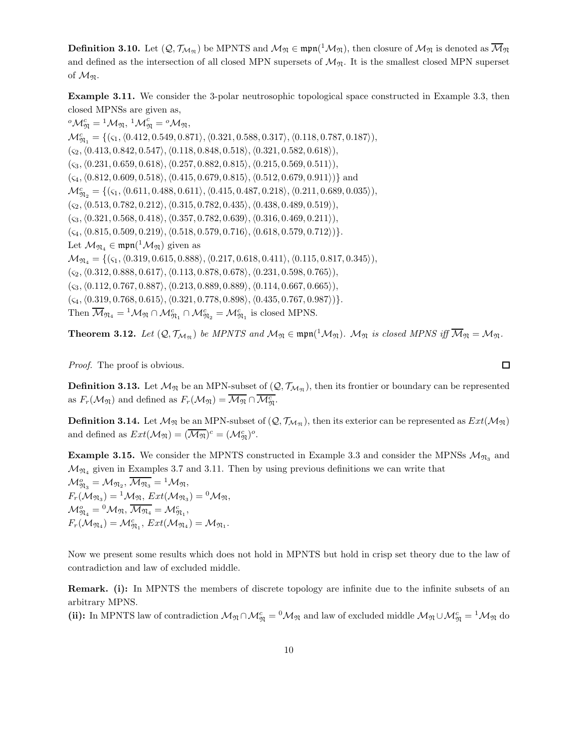**Definition 3.10.** Let  $(Q, \mathcal{T}_{\mathcal{M}_{\mathfrak{N}}})$  be MPNTS and  $\mathcal{M}_{\mathfrak{N}} \in \mathfrak{mpn}(^1\mathcal{M}_{\mathfrak{N}})$ , then closure of  $\mathcal{M}_{\mathfrak{N}}$  is denoted as  $\overline{\mathcal{M}}_{\mathfrak{N}}$ and defined as the intersection of all closed MPN supersets of  $\mathcal{M}_{\mathfrak{N}}$ . It is the smallest closed MPN superset of  $M_{\mathfrak{N}}$ .

Example 3.11. We consider the 3-polar neutrosophic topological space constructed in Example 3.3, then closed MPNSs are given as,

 ${}^{\scriptscriptstyle o}{\cal M}^{\scriptscriptstyle c}_{\mathfrak N}={}^1{\cal M}_{\mathfrak N},\, {}^1{\cal M}^{\scriptscriptstyle c}_{\mathfrak N}={}^{\scriptscriptstyle o}{\cal M}_{\mathfrak N},$  $\mathcal{M}^c_{\mathfrak{N}_1} = \{(\varsigma_1,\langle 0.412, 0.549, 0.871\rangle,\langle 0.321, 0.588, 0.317\rangle,\langle 0.118, 0.787, 0.187\rangle),$  $(\varsigma_2,\langle 0.413, 0.842, 0.547\rangle, \langle 0.118, 0.848, 0.518\rangle, \langle 0.321, 0.582, 0.618\rangle),$  $(\zeta_3,\langle 0.231, 0.659, 0.618\rangle, \langle 0.257, 0.882, 0.815\rangle, \langle 0.215, 0.569, 0.511\rangle),$  $(\zeta_4, \langle 0.812, 0.609, 0.518 \rangle, \langle 0.415, 0.679, 0.815 \rangle, \langle 0.512, 0.679, 0.911 \rangle)$  and  $\mathcal{M}^c_{\mathfrak{N}_2} = \{(\varsigma_1,\langle 0.611, 0.488, 0.611\rangle,\langle 0.415, 0.487, 0.218\rangle,\langle 0.211, 0.689, 0.035\rangle),$  $(\varsigma_2,\langle 0.513, 0.782, 0.212 \rangle, \langle 0.315, 0.782, 0.435 \rangle, \langle 0.438, 0.489, 0.519 \rangle),$  $(\varsigma_3, \langle 0.321, 0.568, 0.418 \rangle, \langle 0.357, 0.782, 0.639 \rangle, \langle 0.316, 0.469, 0.211 \rangle),$  $(\varsigma_4,\langle 0.815, 0.509, 0.219 \rangle, \langle 0.518, 0.579, 0.716 \rangle, \langle 0.618, 0.579, 0.712 \rangle)\}.$ Let  $\mathcal{M}_{\mathfrak{N}_4} \in \mathfrak{mpn}({}^1\mathcal{M}_\mathfrak{N})$  given as  $\mathcal{M}_{\mathfrak{N}_4} = \{(\varsigma_1,\langle 0.319, 0.615, 0.888\rangle, \langle 0.217, 0.618, 0.411\rangle, \langle 0.115, 0.817, 0.345\rangle),\}$  $(\varsigma_2,\langle 0.312, 0.888, 0.617\rangle, \langle 0.113, 0.878, 0.678\rangle, \langle 0.231, 0.598, 0.765\rangle),$  $(\varsigma_3,\langle 0.112, 0.767, 0.887\rangle, \langle 0.213, 0.889, 0.889\rangle, \langle 0.114, 0.667, 0.665\rangle),$  $(\varsigma_4,\langle 0.319, 0.768, 0.615\rangle, \langle 0.321, 0.778, 0.898\rangle, \langle 0.435, 0.767, 0.987\rangle)\}.$ Then  $\overline{\mathcal{M}}_{\mathfrak{N}_4} = {}^1\mathcal{M}_{\mathfrak{N}} \cap \mathcal{M}_{\mathfrak{N}_1}^c \cap \mathcal{M}_{\mathfrak{N}_2}^c = \mathcal{M}_{\mathfrak{N}_1}^c$  is closed MPNS.

**Theorem 3.12.** Let  $(Q, \mathcal{T}_{\mathcal{M}_{\mathfrak{N}}})$  be MPNTS and  $\mathcal{M}_{\mathfrak{N}} \in \mathfrak{mpn}(^1\mathcal{M}_{\mathfrak{N}})$ .  $\mathcal{M}_{\mathfrak{N}}$  is closed MPNS iff  $\overline{\mathcal{M}}_{\mathfrak{N}} = \mathcal{M}_{\mathfrak{N}}$ .

*Proof.* The proof is obvious.

**Definition 3.13.** Let  $\mathcal{M}_{\mathfrak{N}}$  be an MPN-subset of  $(Q, \mathcal{T}_{\mathcal{M}_{\mathfrak{N}}})$ , then its frontier or boundary can be represented as  $F_r(\mathcal{M}_{\mathfrak{N}})$  and defined as  $F_r(\mathcal{M}_{\mathfrak{N}}) = \overline{\mathcal{M}_{\mathfrak{N}}} \cap \overline{\mathcal{M}_{\mathfrak{N}}^c}$ .

**Definition 3.14.** Let  $M_{\mathfrak{N}}$  be an MPN-subset of  $(Q, \mathcal{T}_{M_{\mathfrak{N}}})$ , then its exterior can be represented as  $Ext(M_{\mathfrak{N}})$ and defined as  $Ext(\mathcal{M}_{\mathfrak{N}}) = (\overline{\mathcal{M}_{\mathfrak{N}}})^c = (\mathcal{M}_{\mathfrak{N}}^c)^o$ .

**Example 3.15.** We consider the MPNTS constructed in Example 3.3 and consider the MPNSs  $\mathcal{M}_{\mathfrak{N}_3}$  and  $\mathcal{M}_{\mathfrak{N}_4}$  given in Examples 3.7 and 3.11. Then by using previous definitions we can write that  $\mathcal{M}_{\mathfrak{N}_3}^o = \mathcal{M}_{\mathfrak{N}_2}, \, \overline{\mathcal{M}_{\mathfrak{N}_3}} = {^1\mathcal{M}_{\mathfrak{N}}},$  $F_r(\mathcal{M}_{\mathfrak{N}_3}) = {}^1\mathcal{M}_{\mathfrak{N}}, \, Ext(\mathcal{M}_{\mathfrak{N}_3}) = {}^0\mathcal{M}_{\mathfrak{N}},$  $\mathcal{M}^{o}_{\mathfrak{N}_4} = {}^0\mathcal{M}_{\mathfrak{N}}, \, \overline{\mathcal{M}_{\mathfrak{N}_4}} = \mathcal{M}^{c}_{\mathfrak{N}_1},$  $F_r(\mathcal{M}_{\mathfrak{N}_4}) = \mathcal{M}_{\mathfrak{N}_1}^c$ ,  $Ext(\mathcal{M}_{\mathfrak{N}_4}) = \mathcal{M}_{\mathfrak{N}_1}$ .

Now we present some results which does not hold in MPNTS but hold in crisp set theory due to the law of contradiction and law of excluded middle.

**Remark.** (i): In MPNTS the members of discrete topology are infinite due to the infinite subsets of an arbitrary MPNS.

(ii): In MPNTS law of contradiction  $M_{\mathfrak{N}} \cap M_{\mathfrak{N}}^c = {}^0\mathcal{M}_{\mathfrak{N}}$  and law of excluded middle  $M_{\mathfrak{N}} \cup M_{\mathfrak{N}}^c = {}^1\mathcal{M}_{\mathfrak{N}}$  do

 $\Box$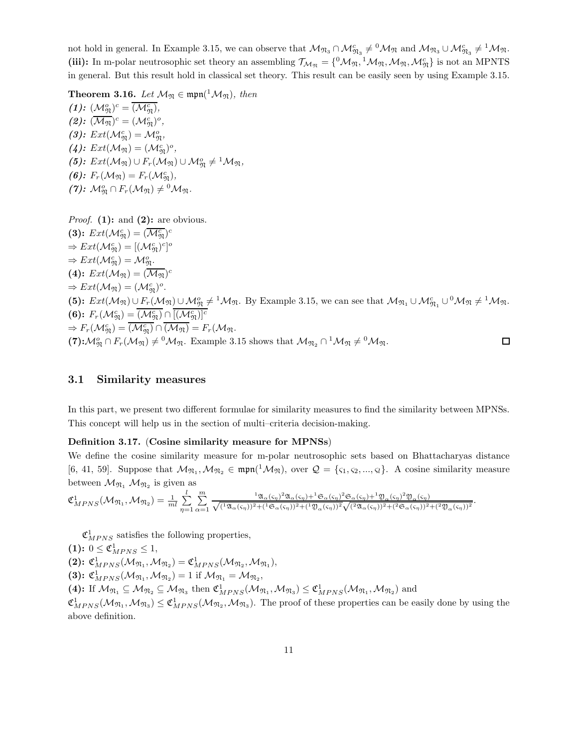not hold in general. In Example 3.15, we can observe that  $\mathcal{M}_{\mathfrak{N}_3} \cap \mathcal{M}_{\mathfrak{N}_3}^c \neq {}^0\mathcal{M}_{\mathfrak{N}}$  and  $\mathcal{M}_{\mathfrak{N}_3} \cup \mathcal{M}_{\mathfrak{N}_3}^c \neq {}^1\mathcal{M}_{\mathfrak{N}}$ . (iii): In m-polar neutrosophic set theory an assembling  $\mathcal{T}_{\mathcal{M}_{\mathfrak{N}}} = \{^0\mathcal{M}_{\mathfrak{N}},^1\mathcal{M}_{\mathfrak{N}},\mathcal{M}_{\mathfrak{N}},\mathcal{M}_{\mathfrak{N}}^c\}$  is not an MPNTS in general. But this result hold in classical set theory. This result can be easily seen by using Example 3.15.

**Theorem 3.16.** Let  $\mathcal{M}_{\mathfrak{N}} \in \mathfrak{m}$ pn $({}^{1}\mathcal{M}_{\mathfrak{N}})$ , then

 $(1)$ :  $({\mathcal M}^o_{\mathfrak N})^c = \overline{({\mathcal M}^c_{\mathfrak N})},$ (2):  $(\overline{\mathcal{M}_{\mathfrak{N}}})^c = (\mathcal{M}_{\mathfrak{N}}^c)^o$ , (3):  $Ext(\mathcal{M}_{\mathfrak{N}}^c) = \mathcal{M}_{\mathfrak{N}}^o$ , (4):  $Ext(\mathcal{M}_{\mathfrak{N}}) = (\mathcal{M}_{\mathfrak{N}}^c)^o$ ,  $(5): Ext(\mathcal{M}_{\mathfrak{N}}) \cup F_r(\mathcal{M}_{\mathfrak{N}}) \cup \mathcal{M}_{\mathfrak{N}}^o \neq {}^1\mathcal{M}_{\mathfrak{N}},$ (6):  $F_r(\mathcal{M}_{\mathfrak{N}}) = F_r(\mathcal{M}_{\mathfrak{N}}^c),$ (7):  $\mathcal{M}_{\mathfrak{N}}^o \cap F_r(\mathcal{M}_{\mathfrak{N}}) \neq {}^0\mathcal{M}_{\mathfrak{N}}.$ 

*Proof.* (1): and (2): are obvious. (3):  $Ext(\mathcal{M}_{\mathfrak{N}}^c) = (\overline{\mathcal{M}_{\mathfrak{N}}^c})^c$  $\Rightarrow Ext(\mathcal{M}_{\mathfrak{N}}^c) = [(\mathcal{M}_{\mathfrak{N}}^c)^c]^o$  $\Rightarrow Ext(\mathcal{M}_{\mathfrak{N}}^c) = \mathcal{M}_{\mathfrak{N}}^o.$ (4):  $Ext(\mathcal{M}_{\mathfrak{N}}) = (\overline{\mathcal{M}_{\mathfrak{N}}})^c$  $\Rightarrow Ext(\mathcal{M}_{\mathfrak{N}})=(\mathcal{M}_{\mathfrak{N}}^c)^o.$ (5):  $Ext(\mathcal{M}_{\mathfrak{N}}) \cup F_r(\mathcal{M}_{\mathfrak{N}}) \cup \mathcal{M}_{\mathfrak{N}}^o \neq {}^1\mathcal{M}_{\mathfrak{N}}$ . By Example 3.15, we can see that  $\mathcal{M}_{\mathfrak{N}_1} \cup \mathcal{M}_{\mathfrak{N}_1}^c \cup {}^0\mathcal{M}_{\mathfrak{N}} \neq {}^1\mathcal{M}_{\mathfrak{N}}$ . (6):  $F_r(M_{\mathfrak{N}}^c) = \overline{(\mathcal{M}_{\mathfrak{N}}^c)} \cap \overline{[(\mathcal{M}_{\mathfrak{N}}^c)]^c}$  $\Rightarrow F_r(\mathcal{M}^c_{\mathfrak{N}}) = \overline{(\mathcal{M}^c_{\mathfrak{N}})} \cap \overline{(\mathcal{M}_{\mathfrak{N}})} = F_r(\mathcal{M}_{\mathfrak{N}}).$  $(7): \mathcal{M}_{\mathfrak{N}}^o \cap F_r(\mathcal{M}_{\mathfrak{N}}) \neq {}^0\mathcal{M}_{\mathfrak{N}}$ . Example 3.15 shows that  $\mathcal{M}_{\mathfrak{N}_2} \cap {}^1\mathcal{M}_{\mathfrak{N}} \neq {}^0\mathcal{M}_{\mathfrak{N}}$ .  $\Box$ 

# 3.1 Similarity measures

In this part, we present two different formulae for similarity measures to find the similarity between MPNSs. This concept will help us in the section of multi–criteria decision-making.

#### Definition 3.17. (Cosine similarity measure for MPNSs)

We define the cosine similarity measure for m-polar neutrosophic sets based on Bhattacharyas distance [6, 41, 59]. Suppose that  $M_{\mathfrak{N}_1}, \mathcal{M}_{\mathfrak{N}_2} \in \mathfrak{mpn}(^1\mathcal{M}_{\mathfrak{N}})$ , over  $\mathcal{Q} = \{\varsigma_1, \varsigma_2, ..., \varsigma_l\}$ . A cosine similarity measure between  $\mathcal{M}_{\mathfrak{N}_1}$   $\mathcal{M}_{\mathfrak{N}_2}$  is given as

$$
\mathfrak{C}^1_{MPNS}(\mathcal{M}_{\mathfrak{N}_1},\mathcal{M}_{\mathfrak{N}_2})=\tfrac{1}{ml}\sum_{\eta=1}^l \sum_{\alpha=1}^m \tfrac{ \mathrm{i}\mathfrak{A}_\alpha(\varsigma_\eta)^2\mathfrak{A}_\alpha(\varsigma_\eta)+\mathrm{i}\mathfrak{S}_\alpha(\varsigma_\eta)^2\mathfrak{S}_\alpha(\varsigma_\eta)+\mathrm{i}\mathfrak{Y}_\alpha(\varsigma_\eta)^2\mathfrak{Y}_\alpha(\varsigma_\eta)}{\sqrt{(\mathrm{i}\mathfrak{A}_\alpha(\varsigma_\eta))^2+(\mathrm{i}\mathfrak{S}_\alpha(\varsigma_\eta))^2+(\mathrm{i}\mathfrak{Y}_\alpha(\varsigma_\eta))^2} \sqrt{(\mathrm{i}\mathfrak{A}_\alpha(\varsigma_\eta))^2+(\mathrm{i}\mathfrak{S}_\alpha(\varsigma_\eta))^2+(\mathrm{i}\mathfrak{Y}_\alpha(\varsigma_\eta))^2} }.
$$

 $\mathfrak{C}_{MPNS}^1$  satisfies the following properties,

(1):  $0 \leq \mathfrak{C}_{MPNS}^1 \leq 1$ , (2):  $\mathfrak{C}_{MPNS}^1(\mathcal{M}_{\mathfrak{N}_1}, \mathcal{M}_{\mathfrak{N}_2}) = \mathfrak{C}_{MPNS}^1(\mathcal{M}_{\mathfrak{N}_2}, \mathcal{M}_{\mathfrak{N}_1}),$ (3):  $\mathfrak{C}_{MPNS}^1(\mathcal{M}_{\mathfrak{N}_1}, \mathcal{M}_{\mathfrak{N}_2}) = 1$  if  $\mathcal{M}_{\mathfrak{N}_1} = \mathcal{M}_{\mathfrak{N}_2}$ , (4): If  $M_{\mathfrak{N}_1} \subseteq M_{\mathfrak{N}_2} \subseteq M_{\mathfrak{N}_3}$  then  $\mathfrak{C}_{MPNS}^1(\mathcal{M}_{\mathfrak{N}_1}, \mathcal{M}_{\mathfrak{N}_3}) \leq \mathfrak{C}_{MPNS}^1(\mathcal{M}_{\mathfrak{N}_1}, \mathcal{M}_{\mathfrak{N}_2})$  and  $\mathfrak{C}_{MPNS}^1(\mathcal{M}_{\mathfrak{N}_1},\mathcal{M}_{\mathfrak{N}_3}) \leq \mathfrak{C}_{MPNS}^1(\mathcal{M}_{\mathfrak{N}_2},\mathcal{M}_{\mathfrak{N}_3})$ . The proof of these properties can be easily done by using the above definition.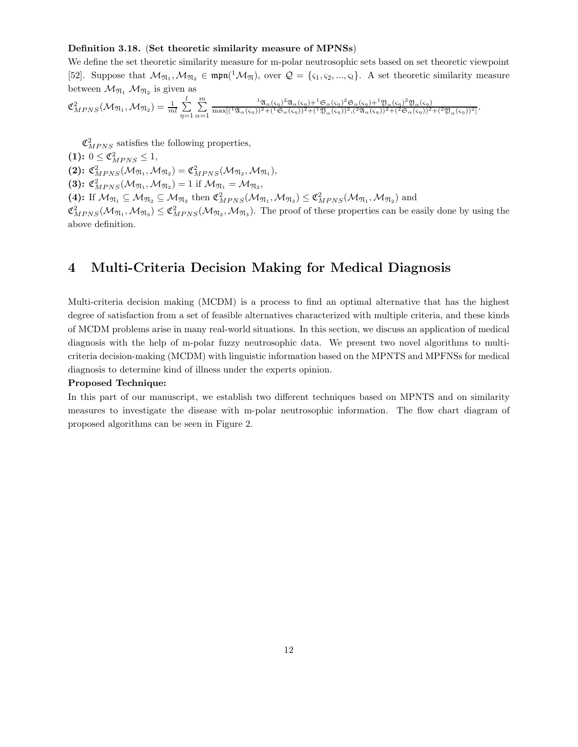## Definition 3.18. (Set theoretic similarity measure of MPNSs)

We define the set theoretic similarity measure for m-polar neutrosophic sets based on set theoretic viewpoint [52]. Suppose that  $M_{\mathfrak{N}_1}, \mathcal{M}_{\mathfrak{N}_2} \in \mathfrak{mpn}(^1\mathcal{M}_{\mathfrak{N}})$ , over  $\mathcal{Q} = \{\varsigma_1, \varsigma_2, ..., \varsigma_l\}$ . A set theoretic similarity measure between  $\mathcal{M}_{\mathfrak{N}_1}$   $\mathcal{M}_{\mathfrak{N}_2}$  is given as

$$
\mathfrak{C}^2_{MPNS}(\mathcal{M}_{\mathfrak{N}_1},\mathcal{M}_{\mathfrak{N}_2})=\frac{1}{ml}\sum_{\eta=1}^l\sum_{\alpha=1}^m\frac{{}^1\mathfrak{A}_\alpha(\varsigma_\eta)^2\mathfrak{A}_\alpha(\varsigma_\eta)+{}^1\mathfrak{S}_\alpha(\varsigma_\eta)^2\mathfrak{S}_\alpha(\varsigma_\eta)+{}^1\mathfrak{Y}_\alpha(\varsigma_\eta)^2\mathfrak{Y}_\alpha(\varsigma_\eta)}{{}^1\mathfrak{A}_\alpha(\varsigma_\eta)^2+{}^1\mathfrak{S}_\alpha(\varsigma_\eta)^2+{}^1\mathfrak{Y}_\alpha(\varsigma_\eta))^2+{}^2\mathfrak{A}_\alpha(\varsigma_\eta)^2+{}^2\mathfrak{S}_\alpha(\varsigma_\eta)^2+{}^2\mathfrak{Y}_\alpha(\varsigma_\eta)^2+{}^2\mathfrak{Y}_\alpha(\varsigma_\eta)^2}.
$$

 $\mathfrak{C}^2_{MPNS}$  satisfies the following properties,

(1):  $0 \leq \mathfrak{C}_{MPNS}^2 \leq 1$ ,

(2):  $\mathfrak{C}_{MPNS}^2(\mathcal{M}_{\mathfrak{N}_1}, \mathcal{M}_{\mathfrak{N}_2}) = \mathfrak{C}_{MPNS}^2(\mathcal{M}_{\mathfrak{N}_2}, \mathcal{M}_{\mathfrak{N}_1}),$ 

(3):  $\mathfrak{C}_{MPNS}^2(\mathcal{M}_{\mathfrak{N}_1}, \mathcal{M}_{\mathfrak{N}_2}) = 1$  if  $\mathcal{M}_{\mathfrak{N}_1} = \mathcal{M}_{\mathfrak{N}_2}$ ,

(4): If  $M_{\mathfrak{N}_1} \subseteq M_{\mathfrak{N}_2} \subseteq M_{\mathfrak{N}_3}$  then  $\mathfrak{C}_{MPNS}^2(\mathcal{M}_{\mathfrak{N}_1}, \mathcal{M}_{\mathfrak{N}_3}) \leq \mathfrak{C}_{MPNS}^2(\mathcal{M}_{\mathfrak{N}_1}, \mathcal{M}_{\mathfrak{N}_2})$  and

 $\mathfrak{C}_{MPNS}^2(\mathcal{M}_{\mathfrak{N}_1},\mathcal{M}_{\mathfrak{N}_3}) \leq \mathfrak{C}_{MPNS}^2(\mathcal{M}_{\mathfrak{N}_2},\mathcal{M}_{\mathfrak{N}_3})$ . The proof of these properties can be easily done by using the above definition.

# 4 Multi-Criteria Decision Making for Medical Diagnosis

Multi-criteria decision making (MCDM) is a process to find an optimal alternative that has the highest degree of satisfaction from a set of feasible alternatives characterized with multiple criteria, and these kinds of MCDM problems arise in many real-world situations. In this section, we discuss an application of medical diagnosis with the help of m-polar fuzzy neutrosophic data. We present two novel algorithms to multicriteria decision-making (MCDM) with linguistic information based on the MPNTS and MPFNSs for medical diagnosis to determine kind of illness under the experts opinion.

#### Proposed Technique:

In this part of our manuscript, we establish two different techniques based on MPNTS and on similarity measures to investigate the disease with m-polar neutrosophic information. The flow chart diagram of proposed algorithms can be seen in Figure 2.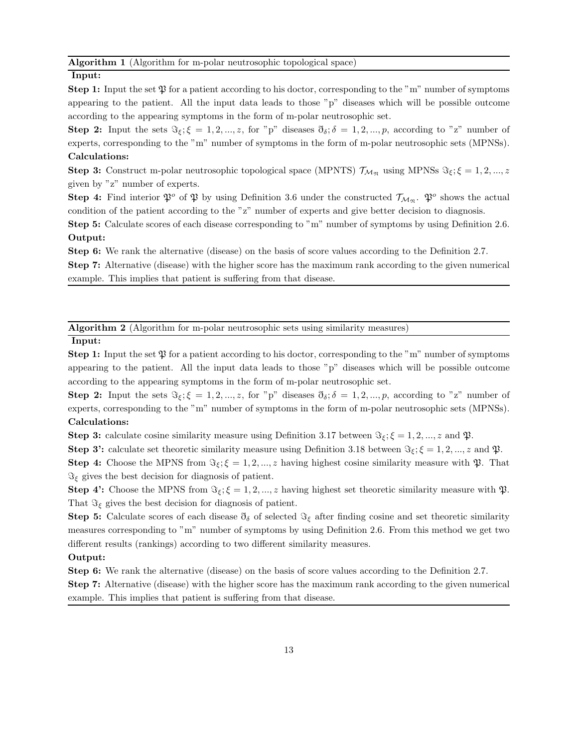#### Algorithm 1 (Algorithm for m-polar neutrosophic topological space)

#### Input:

**Step 1:** Input the set  $\mathfrak{P}$  for a patient according to his doctor, corresponding to the "m" number of symptoms appearing to the patient. All the input data leads to those "p" diseases which will be possible outcome according to the appearing symptoms in the form of m-polar neutrosophic set.

Step 2: Input the sets  $\Im \xi$ ;  $\xi = 1, 2, ..., z$ , for "p" diseases  $\partial_{\delta}$ ;  $\delta = 1, 2, ..., p$ , according to "z" number of experts, corresponding to the "m" number of symptoms in the form of m-polar neutrosophic sets (MPNSs). Calculations:

**Step 3:** Construct m-polar neutrosophic topological space (MPNTS)  $\mathcal{T}_{\mathcal{M}_m}$  using MPNSs  $\Im \xi; \xi = 1, 2, ..., z$ given by "z" number of experts.

**Step 4:** Find interior  $\mathfrak{P}^o$  of  $\mathfrak{P}$  by using Definition 3.6 under the constructed  $\mathcal{T}_{\mathcal{M}_{\mathfrak{N}}}$ .  $\mathfrak{P}^o$  shows the actual condition of the patient according to the "z" number of experts and give better decision to diagnosis.

Step 5: Calculate scores of each disease corresponding to "m" number of symptoms by using Definition 2.6. Output:

Step 6: We rank the alternative (disease) on the basis of score values according to the Definition 2.7.

Step 7: Alternative (disease) with the higher score has the maximum rank according to the given numerical example. This implies that patient is suffering from that disease.

# Algorithm 2 (Algorithm for m-polar neutrosophic sets using similarity measures)

## Input:

**Step 1:** Input the set  $\mathfrak{P}$  for a patient according to his doctor, corresponding to the "m" number of symptoms appearing to the patient. All the input data leads to those "p" diseases which will be possible outcome according to the appearing symptoms in the form of m-polar neutrosophic set.

Step 2: Input the sets  $\Im \xi; \xi = 1, 2, ..., z$ , for "p" diseases  $\partial_{\delta}$ ;  $\delta = 1, 2, ..., p$ , according to "z" number of experts, corresponding to the "m" number of symptoms in the form of m-polar neutrosophic sets (MPNSs). Calculations:

**Step 3:** calculate cosine similarity measure using Definition 3.17 between  $\Im \xi$ ;  $\xi = 1, 2, ..., z$  and  $\mathfrak{P}$ .

Step 3': calculate set theoretic similarity measure using Definition 3.18 between  $\Im \xi$ ;  $\xi = 1, 2, ..., z$  and  $\mathfrak{P}$ . **Step 4:** Choose the MPNS from  $\Im \xi$ ;  $\xi = 1, 2, ..., z$  having highest cosine similarity measure with  $\mathfrak{P}$ . That  $\Im \xi$  gives the best decision for diagnosis of patient.

**Step 4':** Choose the MPNS from  $\Im \xi$ ;  $\xi = 1, 2, ..., z$  having highest set theoretic similarity measure with  $\mathfrak{P}$ . That  $\Im \xi$  gives the best decision for diagnosis of patient.

**Step 5:** Calculate scores of each disease  $\eth_{\delta}$  of selected  $\Im_{\xi}$  after finding cosine and set theoretic similarity measures corresponding to "m" number of symptoms by using Definition 2.6. From this method we get two different results (rankings) according to two different similarity measures.

## Output:

Step 6: We rank the alternative (disease) on the basis of score values according to the Definition 2.7. Step 7: Alternative (disease) with the higher score has the maximum rank according to the given numerical example. This implies that patient is suffering from that disease.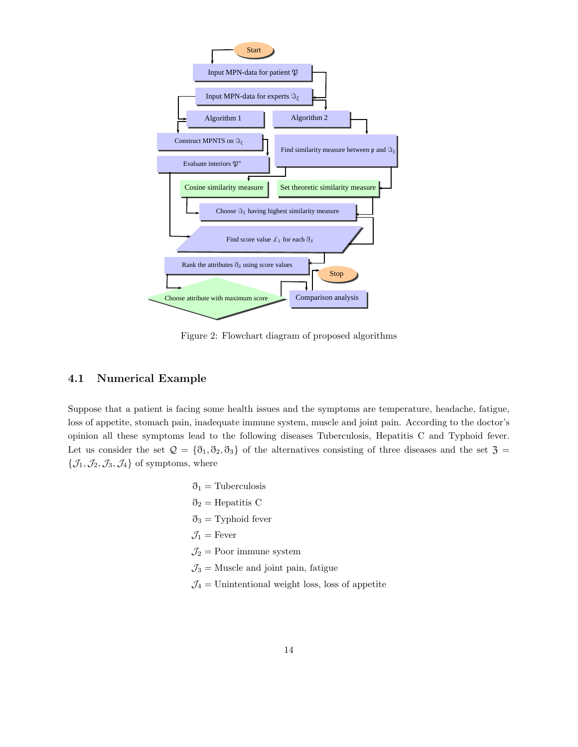

Figure 2: Flowchart diagram of proposed algorithms

# 4.1 Numerical Example

Suppose that a patient is facing some health issues and the symptoms are temperature, headache, fatigue, loss of appetite, stomach pain, inadequate immune system, muscle and joint pain. According to the doctor's opinion all these symptoms lead to the following diseases Tuberculosis, Hepatitis C and Typhoid fever. Let us consider the set  $\mathcal{Q} = {\{\bar{\partial}_1, \bar{\partial}_2, \bar{\partial}_3\}}$  of the alternatives consisting of three diseases and the set  $\bar{\mathfrak{Z}} =$  $\{\mathcal{J}_1,\mathcal{J}_2,\mathcal{J}_3,\mathcal{J}_4\}$  of symptoms, where

> $\mathfrak{d}_1$  = Tuberculosis  $\mathfrak{d}_2$  = Hepatitis C  $\eth_3$  = Typhoid fever  $\mathcal{J}_1$  = Fever  $\mathcal{J}_2$  = Poor immune system  $\mathcal{J}_3$  = Muscle and joint pain, fatigue  $\mathcal{J}_4$  = Unintentional weight loss, loss of appetite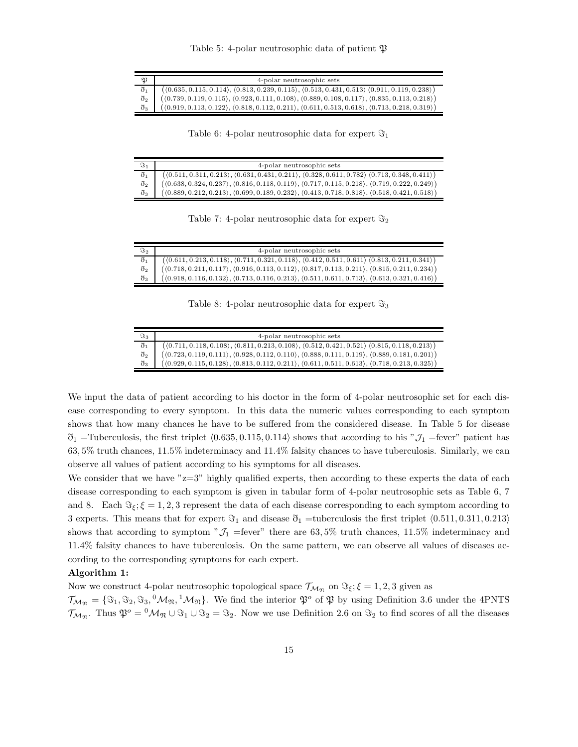Table 5: 4-polar neutrosophic data of patient  $\mathfrak P$ 

|                  | 4-polar neutrosophic sets                                                                                                                                                                                                                                                                                                            |
|------------------|--------------------------------------------------------------------------------------------------------------------------------------------------------------------------------------------------------------------------------------------------------------------------------------------------------------------------------------|
| $\eth_1$         | $\left(\langle 0.635, 0.115, 0.114 \rangle, \langle 0.813, 0.239, 0.115 \rangle, \langle 0.513, 0.431, 0.513 \rangle \left( 0.911, 0.119, 0.238 \right) \right) \\ \left(\langle 0.739, 0.119, 0.115 \rangle, \langle 0.923, 0.111, 0.108 \rangle, \langle 0.889, 0.108, 0.117 \rangle, \langle 0.835, 0.113, 0.218 \rangle \right)$ |
| $\mathfrak{d}_2$ |                                                                                                                                                                                                                                                                                                                                      |
| $\mathfrak{d}_3$ | $((0.919, 0.113, 0.122), (0.818, 0.112, 0.211), (0.611, 0.513, 0.618), (0.713, 0.218, 0.319))$                                                                                                                                                                                                                                       |

Table 6: 4-polar neutrosophic data for expert  $\Im_1$ 

| $\mathcal{L}$ | 4-polar neutrosophic sets                                                                                                                                                                       |
|---------------|-------------------------------------------------------------------------------------------------------------------------------------------------------------------------------------------------|
|               | $\boxed{\mathfrak{d}_1~\big ~\big( \langle 0.511, 0.311, 0.213 \rangle, \langle 0.631, 0.431, 0.211 \rangle, \langle 0.328, 0.611, 0.782 \rangle \, \langle 0.713, 0.348, 0.411 \rangle \big)}$ |
|               | $\big( \langle 0.638, 0.324, 0.237\rangle, \langle 0.816, 0.118, 0.119\rangle, \langle 0.717, 0.115, 0.218\rangle, \langle 0.719, 0.222, 0.249\rangle \big)$                                    |
| $\eth_3$      | $( \langle 0.889, 0.212, 0.213 \rangle, \langle 0.699, 0.189, 0.232 \rangle, \langle 0.413, 0.718, 0.818 \rangle, \langle 0.518, 0.421, 0.518 \rangle )$                                        |

Table 7: 4-polar neutrosophic data for expert  $\Im_2$ 

| $\mathfrak{F}_1$<br>$\big(\langle 0.611, 0.213, 0.118\rangle, \langle 0.711, 0.321, 0.118\rangle, \langle 0.412, 0.511, 0.611\rangle \, \langle 0.813, 0.211, 0.341\rangle \big)$ |  |
|-----------------------------------------------------------------------------------------------------------------------------------------------------------------------------------|--|
|                                                                                                                                                                                   |  |
| $\bigl(\langle 0.718, 0.211, 0.117\rangle, \langle 0.916, 0.113, 0.112\rangle, \langle 0.817, 0.113, 0.211\rangle, \langle 0.815, 0.211, 0.234\rangle\bigr)$<br>$\eth_2$          |  |
| $( \langle 0.918, 0.116, 0.132 \rangle, \langle 0.713, 0.116, 0.213 \rangle, \langle 0.511, 0.611, 0.713 \rangle, \langle 0.613, 0.321, 0.416 \rangle )$<br>$\eth_3$              |  |

Table 8: 4-polar neutrosophic data for expert  $\Im$ <sub>3</sub>

| $\Im_3$  | 4-polar neutrosophic sets                                                                                                                                |
|----------|----------------------------------------------------------------------------------------------------------------------------------------------------------|
| $\eth_1$ | $( \langle 0.711, 0.118, 0.108 \rangle, \langle 0.811, 0.213, 0.108 \rangle, \langle 0.512, 0.421, 0.521 \rangle, \langle 0.815, 0.118, 0.213 \rangle )$ |
| $\eth_2$ | $( \langle 0.723, 0.119, 0.111 \rangle, \langle 0.928, 0.112, 0.110 \rangle, \langle 0.888, 0.111, 0.119 \rangle, \langle 0.889, 0.181, 0.201 \rangle )$ |
| $\eth_3$ | $((0.929, 0.115, 0.128), (0.813, 0.112, 0.211), (0.611, 0.511, 0.613), (0.718, 0.213, 0.325))$                                                           |

We input the data of patient according to his doctor in the form of 4-polar neutrosophic set for each disease corresponding to every symptom. In this data the numeric values corresponding to each symptom shows that how many chances he have to be suffered from the considered disease. In Table 5 for disease  $\eth_1$  =Tuberculosis, the first triplet  $\langle 0.635, 0.115, 0.114 \rangle$  shows that according to his " $\mathcal{J}_1$  =fever" patient has 63, 5% truth chances, 11.5% indeterminacy and 11.4% falsity chances to have tuberculosis. Similarly, we can observe all values of patient according to his symptoms for all diseases.

We consider that we have "z=3" highly qualified experts, then according to these experts the data of each disease corresponding to each symptom is given in tabular form of 4-polar neutrosophic sets as Table 6, 7 and 8. Each  $\Im_{\xi}$ ;  $\xi = 1, 2, 3$  represent the data of each disease corresponding to each symptom according to 3 experts. This means that for expert  $\Im_1$  and disease  $\Im_1$  =tuberculosis the first triplet  $\langle 0.511, 0.311, 0.213 \rangle$ shows that according to symptom " $\mathcal{J}_1$  =fever" there are 63,5% truth chances, 11.5% indeterminacy and 11.4% falsity chances to have tuberculosis. On the same pattern, we can observe all values of diseases according to the corresponding symptoms for each expert.

#### Algorithm 1:

Now we construct 4-polar neutrosophic topological space  $\mathcal{T}_{M_{\mathfrak{N}}}$  on  $\Im_{\xi}$ ;  $\xi = 1, 2, 3$  given as

 $\mathcal{T}_{\mathcal{M}_{\mathfrak{N}}} = {\mathfrak{S}_1, \mathfrak{S}_2, \mathfrak{S}_3, \mathfrak{O}_{\mathcal{M}_{\mathfrak{N}}}}$ . We find the interior  $\mathfrak{P}^o$  of  $\mathfrak{P}$  by using Definition 3.6 under the 4PNTS  $\mathcal{T}_{\mathcal{M}_{\mathfrak{N}}}$ . Thus  $\mathfrak{P}^o = {}^0\mathcal{M}_{\mathfrak{N}} \cup \mathfrak{S}_1 \cup \mathfrak{S}_2 = \mathfrak{S}_2$ . Now we use Definition 2.6 on  $\mathfrak{S}_2$  to find scores of all the diseases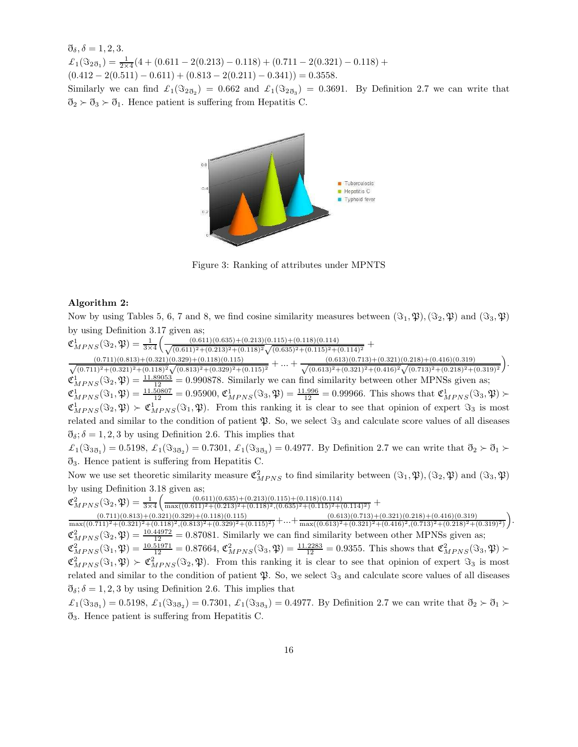$\eth_{\delta}, \delta = 1, 2, 3.$  $\mathcal{L}_1(\Im_{2\eth_1}) = \frac{1}{2\times4}(4 + (0.611 - 2(0.213) - 0.118) + (0.711 - 2(0.321) - 0.118) +$  $(0.412 - 2(0.511) - 0.611) + (0.813 - 2(0.211) - 0.341)) = 0.3558.$ Similarly we can find  $\mathcal{L}_1(\Im_{2\bar{\sigma}_2}) = 0.662$  and  $\mathcal{L}_1(\Im_{2\bar{\sigma}_3}) = 0.3691$ . By Definition 2.7 we can write that  $\mathfrak{d}_2 \succ \mathfrak{d}_3 \succ \mathfrak{d}_1$ . Hence patient is suffering from Hepatitis C.



Figure 3: Ranking of attributes under MPNTS

#### Algorithm 2:

Now by using Tables 5, 6, 7 and 8, we find cosine similarity measures between  $(\mathfrak{F}_1, \mathfrak{P}), (\mathfrak{F}_2, \mathfrak{P})$  and  $(\mathfrak{F}_3, \mathfrak{P})$ by using Definition 3.17 given as;

 $\mathfrak{C}^1_{MPNS}(\Im_2, \mathfrak{P}) = \frac{1}{3 \times 4} \left( \frac{(0.611)(0.635) + (0.213)(0.115) + (0.118)(0.114)}{\sqrt{(0.611)^2 + (0.213)^2 + (0.118)^2} \sqrt{(0.635)^2 + (0.115)^2 + (0.116)^2}} \right)$  $\frac{(0.611)(0.635)+(0.213)(0.115)+(0.116)(0.114)}{(0.611)^2+(0.213)^2+(0.118)^2\sqrt{(0.635)^2+(0.115)^2+(0.114)^2}} +$  $\frac{(0.711)(0.813)+(0.321)(0.329)+(0.118)(0.115)}{\sqrt{(0.7111^2+(0.3211^2+(0.118)^2)}\sqrt{(0.8131^2+(0.3291^2+0.116)^2)}}$  $\frac{(0.711)(0.813)+(0.321)(0.329)+(0.118)(0.115)}{(0.711)^2+(0.321)^2+(0.118)^2}\left(\frac{(0.813)^2+(0.329)^2+(0.115)^2}{(0.813)^2+(0.115)^2}\right) + \ldots + \frac{(0.613)(0.713)+(0.321)(0.218)+(0.416)(0.319)}{\sqrt{(0.613)^2+(0.321)^2+(0.416)^2}\sqrt{(0.713)^2+(0.218)^2+(0.118)^2}}$  $\frac{(0.613)^2 + (0.321)^2 + (0.416)^2}{(0.613)^2 + (0.321)^2 + (0.416)^2}$  .  $\mathfrak{C}_{MPNS}^1(\mathfrak{F}_2, \mathfrak{P}) = \frac{11.89053}{12} = 0.990878$ . Similarly we can find similarity between other MPNSs given as;  $\mathfrak{C}_{MPNS}^1(\mathfrak{F}_1, \mathfrak{P}) = \frac{11.50807}{12} = 0.95900, \mathfrak{C}_{MPNS}^1(\mathfrak{F}_3, \mathfrak{P}) = \frac{11.996}{12} = 0.99966.$  This shows that  $\mathfrak{C}_{MPNS}^1(\mathfrak{F}_3, \mathfrak{P})$  $\mathfrak{C}_{MPNS}^1(\mathfrak{F}_2, \mathfrak{P}) \succ \mathfrak{C}_{MPNS}^1(\mathfrak{F}_1, \mathfrak{P})$ . From this ranking it is clear to see that opinion of expert  $\mathfrak{F}_3$  is most related and similar to the condition of patient  $\mathfrak{P}$ . So, we select  $\Im$ <sub>3</sub> and calculate score values of all diseases  $\eth_{\delta}$ ;  $\delta = 1, 2, 3$  by using Definition 2.6. This implies that  $\mathcal{L}_1(\Im_{3\eth_1})=0.5198, \ \mathcal{L}_1(\Im_{3\eth_2})=0.7301, \ \mathcal{L}_1(\Im_{3\eth_3})=0.4977.$  By Definition 2.7 we can write that  $\eth_2 \succ \eth_1 \succ$ ð3. Hence patient is suffering from Hepatitis C. Now we use set theoretic similarity measure  $\mathfrak{C}_{MPNS}^2$  to find similarity between  $(\mathfrak{F}_1, \mathfrak{P}), (\mathfrak{F}_2, \mathfrak{P})$  and  $(\mathfrak{F}_3, \mathfrak{P})$ by using Definition 3.18 given as;  $\mathfrak{C}^2_{MPNS}(\Im_2, \mathfrak{P}) = \frac{1}{3 \times 4} \left( \frac{(0.611)(0.635) + (0.213)(0.115) + (0.118)(0.114)}{\max((0.611)^2 + (0.213)^2 + (0.118)^2, (0.635)^2 + (0.115)^2 + (0.114)^2)} + \right.$  $\frac{(0.711)(0.813)+(0.321)(0.329)+(0.118)(0.115)}{\max((0.711)^2+(0.321)^2+(0.118)^2,(0.813)^2+(0.329)^2+(0.115)^2)}+\ldots+\frac{(0.613)(0.713)+(0.321)(0.218)+(0.416)(0.319)}{\max((0.613)^2+(0.321)^2+(0.416)^2,(0.713)^2+(0.218)^2+(0.319)^2)}\bigg).$  $\mathfrak{C}_{MPNS}^2(\Im_2, \mathfrak{P}) = \frac{10.44972}{12} = 0.87081$ . Similarly we can find similarity between other MPNSs given as;  $\mathfrak{C}_{MPNS}^2(\Im_1, \mathfrak{P}) = \frac{10.51971}{12} = 0.87664, \mathfrak{C}_{MPNS}^2(\Im_3, \mathfrak{P}) = \frac{11.2283}{12} = 0.9355$ . This shows that  $\mathfrak{C}_{MPNS}^2(\Im_3, \mathfrak{P})$  $\mathfrak{C}_{MPNS}^2(\mathfrak{F}_1,\mathfrak{P})\succ \mathfrak{C}_{MPNS}^2(\mathfrak{F}_2,\mathfrak{P})$ . From this ranking it is clear to see that opinion of expert  $\mathfrak{F}_3$  is most related and similar to the condition of patient  $\mathfrak{P}$ . So, we select  $\Im_3$  and calculate score values of all diseases  $\eth_{\delta}$ ;  $\delta = 1, 2, 3$  by using Definition 2.6. This implies that

 $\mathcal{L}_1(\Im_{3\eth_1})=0.5198, \ \mathcal{L}_1(\Im_{3\eth_2})=0.7301, \ \mathcal{L}_1(\Im_{3\eth_3})=0.4977.$  By Definition 2.7 we can write that  $\eth_2 \succ \eth_1 \succ$ ð3. Hence patient is suffering from Hepatitis C.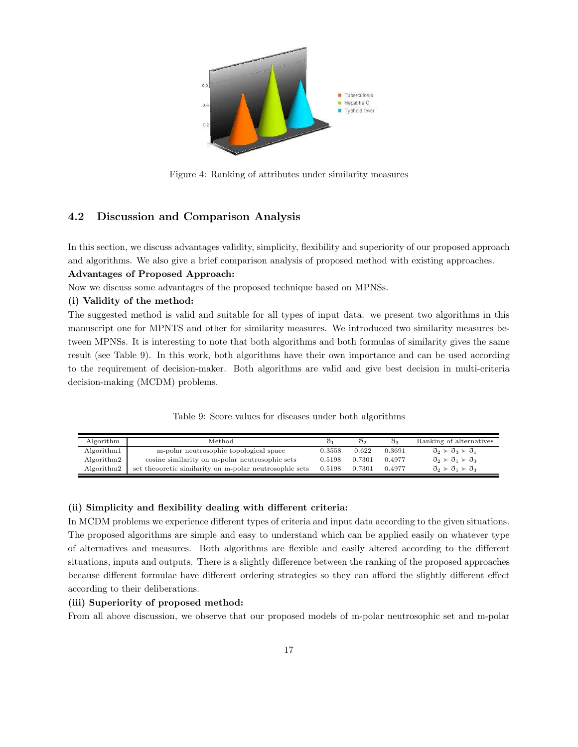

Figure 4: Ranking of attributes under similarity measures

# 4.2 Discussion and Comparison Analysis

In this section, we discuss advantages validity, simplicity, flexibility and superiority of our proposed approach and algorithms. We also give a brief comparison analysis of proposed method with existing approaches.

## Advantages of Proposed Approach:

Now we discuss some advantages of the proposed technique based on MPNSs.

## (i) Validity of the method:

The suggested method is valid and suitable for all types of input data. we present two algorithms in this manuscript one for MPNTS and other for similarity measures. We introduced two similarity measures between MPNSs. It is interesting to note that both algorithms and both formulas of similarity gives the same result (see Table 9). In this work, both algorithms have their own importance and can be used according to the requirement of decision-maker. Both algorithms are valid and give best decision in multi-criteria decision-making (MCDM) problems.

Table 9: Score values for diseases under both algorithms

| Algorithm  | Method                                                |        | შ.     | б.     | Ranking of alternatives                                    |
|------------|-------------------------------------------------------|--------|--------|--------|------------------------------------------------------------|
| Algorithm1 | m-polar neutrosophic topological space                | 0.3558 | 0.622  | 0.3691 | $\mathfrak{d}_2 \succ \mathfrak{d}_3 \succ \mathfrak{d}_1$ |
| Algorithm2 | cosine similarity on m-polar neutrosophic sets        | 0.5198 | 0.7301 | 0.4977 | $\mathfrak{d}_2 \succ \mathfrak{d}_1 \succ \mathfrak{d}_3$ |
| Algorithm2 | set theoretic similarity on m-polar neutrosophic sets | 0.5198 | 0.7301 | 0.4977 | $\mathfrak{d}_2 \succ \mathfrak{d}_1 \succ \mathfrak{d}_3$ |

#### (ii) Simplicity and flexibility dealing with different criteria:

In MCDM problems we experience different types of criteria and input data according to the given situations. The proposed algorithms are simple and easy to understand which can be applied easily on whatever type of alternatives and measures. Both algorithms are flexible and easily altered according to the different situations, inputs and outputs. There is a slightly difference between the ranking of the proposed approaches because different formulae have different ordering strategies so they can afford the slightly different effect according to their deliberations.

## (iii) Superiority of proposed method:

From all above discussion, we observe that our proposed models of m-polar neutrosophic set and m-polar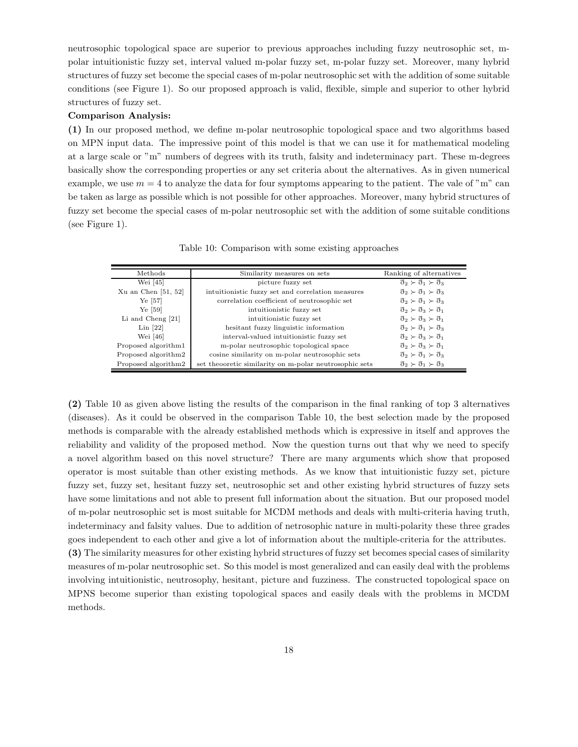neutrosophic topological space are superior to previous approaches including fuzzy neutrosophic set, mpolar intuitionistic fuzzy set, interval valued m-polar fuzzy set, m-polar fuzzy set. Moreover, many hybrid structures of fuzzy set become the special cases of m-polar neutrosophic set with the addition of some suitable conditions (see Figure 1). So our proposed approach is valid, flexible, simple and superior to other hybrid structures of fuzzy set.

## Comparison Analysis:

(1) In our proposed method, we define m-polar neutrosophic topological space and two algorithms based on MPN input data. The impressive point of this model is that we can use it for mathematical modeling at a large scale or "m" numbers of degrees with its truth, falsity and indeterminacy part. These m-degrees basically show the corresponding properties or any set criteria about the alternatives. As in given numerical example, we use  $m = 4$  to analyze the data for four symptoms appearing to the patient. The vale of "m" can be taken as large as possible which is not possible for other approaches. Moreover, many hybrid structures of fuzzy set become the special cases of m-polar neutrosophic set with the addition of some suitable conditions (see Figure 1).

| Methods               | Similarity measures on sets                            | Ranking of alternatives                                    |
|-----------------------|--------------------------------------------------------|------------------------------------------------------------|
| Wei [45]              | picture fuzzy set                                      | $\mathfrak{d}_2 \succ \mathfrak{d}_1 \succ \mathfrak{d}_3$ |
| Xu an Chen $[51, 52]$ | intuitionistic fuzzy set and correlation measures      | $\mathfrak{d}_2 \succ \mathfrak{d}_1 \succ \mathfrak{d}_3$ |
| $Ye$ [57]             | correlation coefficient of neutrosophic set            | $\mathfrak{d}_2 \succ \mathfrak{d}_1 \succ \mathfrak{d}_3$ |
| $Ye$ [59]             | intuitionistic fuzzy set                               | $\mathfrak{d}_2 \succ \mathfrak{d}_3 \succ \mathfrak{d}_1$ |
| Li and Cheng [21]     | intuitionistic fuzzy set                               | $\mathfrak{d}_2 \succ \mathfrak{d}_3 \succ \mathfrak{d}_1$ |
| $Lin$ [22]            | hesitant fuzzy linguistic information                  | $\mathfrak{d}_2 \succ \mathfrak{d}_1 \succ \mathfrak{d}_3$ |
| Wei [46]              | interval-valued intuitionistic fuzzy set               | $\mathfrak{d}_2 \succ \mathfrak{d}_3 \succ \mathfrak{d}_1$ |
| Proposed algorithm1   | m-polar neutrosophic topological space                 | $\mathfrak{d}_2 \succ \mathfrak{d}_3 \succ \mathfrak{d}_1$ |
| Proposed algorithm2   | cosine similarity on m-polar neutrosophic sets         | $\mathfrak{d}_2 \succ \mathfrak{d}_1 \succ \mathfrak{d}_3$ |
| Proposed algorithm2   | set theooretic similarity on m-polar neutrosophic sets | $\mathfrak{d}_2 \succ \mathfrak{d}_1 \succ \mathfrak{d}_3$ |

Table 10: Comparison with some existing approaches

(2) Table 10 as given above listing the results of the comparison in the final ranking of top 3 alternatives (diseases). As it could be observed in the comparison Table 10, the best selection made by the proposed methods is comparable with the already established methods which is expressive in itself and approves the reliability and validity of the proposed method. Now the question turns out that why we need to specify a novel algorithm based on this novel structure? There are many arguments which show that proposed operator is most suitable than other existing methods. As we know that intuitionistic fuzzy set, picture fuzzy set, fuzzy set, hesitant fuzzy set, neutrosophic set and other existing hybrid structures of fuzzy sets have some limitations and not able to present full information about the situation. But our proposed model of m-polar neutrosophic set is most suitable for MCDM methods and deals with multi-criteria having truth, indeterminacy and falsity values. Due to addition of netrosophic nature in multi-polarity these three grades goes independent to each other and give a lot of information about the multiple-criteria for the attributes.

(3) The similarity measures for other existing hybrid structures of fuzzy set becomes special cases of similarity measures of m-polar neutrosophic set. So this model is most generalized and can easily deal with the problems involving intuitionistic, neutrosophy, hesitant, picture and fuzziness. The constructed topological space on MPNS become superior than existing topological spaces and easily deals with the problems in MCDM methods.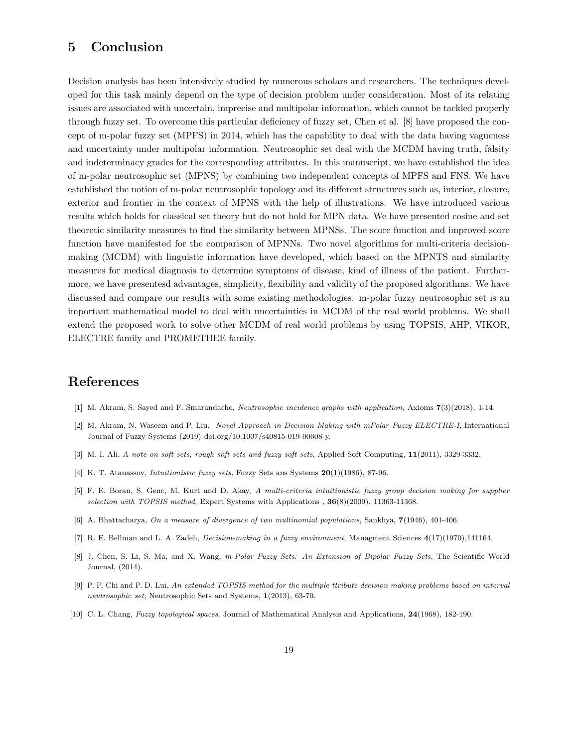# 5 Conclusion

Decision analysis has been intensively studied by numerous scholars and researchers. The techniques developed for this task mainly depend on the type of decision problem under consideration. Most of its relating issues are associated with uncertain, imprecise and multipolar information, which cannot be tackled properly through fuzzy set. To overcome this particular deficiency of fuzzy set, Chen et al. [8] have proposed the concept of m-polar fuzzy set (MPFS) in 2014, which has the capability to deal with the data having vagueness and uncertainty under multipolar information. Neutrosophic set deal with the MCDM having truth, falsity and indeterminacy grades for the corresponding attributes. In this manuscript, we have established the idea of m-polar neutrosophic set (MPNS) by combining two independent concepts of MPFS and FNS. We have established the notion of m-polar neutrosophic topology and its different structures such as, interior, closure, exterior and frontier in the context of MPNS with the help of illustrations. We have introduced various results which holds for classical set theory but do not hold for MPN data. We have presented cosine and set theoretic similarity measures to find the similarity between MPNSs. The score function and improved score function have manifested for the comparison of MPNNs. Two novel algorithms for multi-criteria decisionmaking (MCDM) with linguistic information have developed, which based on the MPNTS and similarity measures for medical diagnosis to determine symptoms of disease, kind of illness of the patient. Furthermore, we have presentesd advantages, simplicity, flexibility and validity of the proposed algorithms. We have discussed and compare our results with some existing methodologies. m-polar fuzzy neutrosophic set is an important mathematical model to deal with uncertainties in MCDM of the real world problems. We shall extend the proposed work to solve other MCDM of real world problems by using TOPSIS, AHP, VIKOR, ELECTRE family and PROMETHEE family.

# References

- [1] M. Akram, S. Sayed and F. Smarandache, Neutrosophic incidence graphs with application, Axioms 7(3)(2018), 1-14.
- [2] M. Akram, N. Waseem and P. Liu, Novel Approach in Decision Making with mPolar Fuzzy ELECTRE-I, International Journal of Fuzzy Systems (2019) doi.org/10.1007/s40815-019-00608-y.
- [3] M. I. Ali, A note on soft sets, rough soft sets and fuzzy soft sets, Applied Soft Computing, 11(2011), 3329-3332.
- [4] K. T. Atanassov, Intuitionistic fuzzy sets, Fuzzy Sets ans Systems 20(1)(1986), 87-96.
- [5] F. E. Boran, S. Genc, M. Kurt and D. Akay, A multi-criteria intuitionistic fuzzy group decision making for supplier selection with TOPSIS method, Expert Systems with Applications ,  $36(8)(2009)$ , 11363-11368.
- [6] A. Bhattacharya, On a measure of divergence of two multinomial populations, Sankhya, 7(1946), 401-406.
- [7] R. E. Bellman and L. A. Zadeh, Decision-making in a fuzzy environment, Managment Sciences 4(17)(1970),141164.
- [8] J. Chen, S. Li, S. Ma, and X. Wang, m-Polar Fuzzy Sets: An Extension of Bipolar Fuzzy Sets, The Scientific World Journal, (2014).
- [9] P. P. Chi and P. D. Lui, An extended TOPSIS method for the multiple ttribute decision making problems based on interval neutrosophic set, Neutrosophic Sets and Systems, 1(2013), 63-70.
- [10] C. L. Chang, Fuzzy topological spaces, Journal of Mathematical Analysis and Applications, 24(1968), 182-190.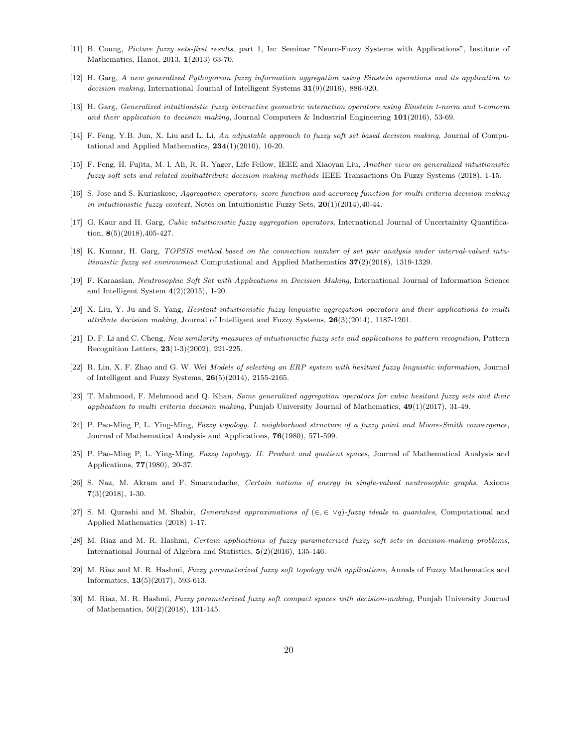- [11] B. Coung, Picture fuzzy sets-first results, part 1, In: Seminar "Neuro-Fuzzy Systems with Applications", Institute of Mathematics, Hanoi, 2013. 1(2013) 63-70.
- [12] H. Garg, A new generalized Pythagorean fuzzy information aggregation using Einstein operations and its application to decision making, International Journal of Intelligent Systems 31(9)(2016), 886-920.
- [13] H. Garg, Generalized intuitionistic fuzzy interactive geometric interaction operators using Einstein t-norm and t-conorm and their application to decision making, Journal Computers & Industrial Engineering 101(2016), 53-69.
- [14] F. Feng, Y.B. Jun, X. Liu and L. Li, An adjustable approach to fuzzy soft set based decision making, Journal of Computational and Applied Mathematics, 234(1)(2010), 10-20.
- [15] F. Feng, H. Fujita, M. I. Ali, R. R. Yager, Life Fellow, IEEE and Xiaoyan Liu, Another view on generalized intuitionistic fuzzy soft sets and related multiattribute decision making methods IEEE Transactions On Fuzzy Systems (2018), 1-15.
- [16] S. Jose and S. Kuriaskose, Aggregation operators, score function and accuracy function for multi criteria decision making in intuitionistic fuzzy context, Notes on Intuitionistic Fuzzy Sets,  $20(1)(2014)$ , 40-44.
- [17] G. Kaur and H. Garg, Cubic intuitionistic fuzzy aggregation operators, International Journal of Uncertainity Quantification,  $8(5)(2018)$ , 405-427.
- [18] K. Kumar, H. Garg, TOPSIS method based on the connection number of set pair analysis under interval-valued intu*itionistic fuzzy set environment* Computational and Applied Mathematics  $37(2)(2018)$ , 1319-1329.
- [19] F. Karaaslan, Neutrosophic Soft Set with Applications in Decision Making, International Journal of Information Science and Intelligent System 4(2)(2015), 1-20.
- [20] X. Liu, Y. Ju and S. Yang, Hesitant intuitionistic fuzzy linguistic aggregation operators and their applications to multi attribute decision making, Journal of Intelligent and Fuzzy Systems,  $26(3)(2014)$ , 1187-1201.
- [21] D. F. Li and C. Cheng, New similarity measures of intuitionictic fuzzy sets and applications to pattern recognition, Pattern Recognition Letters, 23(1-3)(2002), 221-225.
- [22] R. Lin, X. F. Zhao and G. W. Wei Models of selecting an ERP system with hesitant fuzzy linguistic information, Journal of Intelligent and Fuzzy Systems, 26(5)(2014), 2155-2165.
- [23] T. Mahmood, F. Mehmood and Q. Khan, Some generalized aggregation operators for cubic hesitant fuzzy sets and their application to multi criteria decision making, Punjab University Journal of Mathematics,  $49(1)(2017)$ , 31-49.
- [24] P. Pao-Ming P, L. Ying-Ming, Fuzzy topology. I. neighborhood structure of a fuzzy point and Moore-Smith convergence, Journal of Mathematical Analysis and Applications, 76(1980), 571-599.
- [25] P. Pao-Ming P, L. Ying-Ming, Fuzzy topology. II. Product and quotient spaces, Journal of Mathematical Analysis and Applications, 77(1980), 20-37.
- [26] S. Naz, M. Akram and F. Smarandache, Certain notions of energy in single-valued neutrosophic graphs, Axioms  $7(3)(2018)$ , 1-30.
- [27] S. M. Qurashi and M. Shabir, *Generalized approximations of*  $(\epsilon, \epsilon \lor q)$ -fuzzy ideals in quantales, Computational and Applied Mathematics (2018) 1-17.
- [28] M. Riaz and M. R. Hashmi, Certain applications of fuzzy parameterized fuzzy soft sets in decision-making problems, International Journal of Algebra and Statistics, 5(2)(2016), 135-146.
- [29] M. Riaz and M. R. Hashmi, Fuzzy parameterized fuzzy soft topology with applications, Annals of Fuzzy Mathematics and Informatics, 13(5)(2017), 593-613.
- [30] M. Riaz, M. R. Hashmi, Fuzzy parameterized fuzzy soft compact spaces with decision-making, Punjab University Journal of Mathematics, 50(2)(2018), 131-145.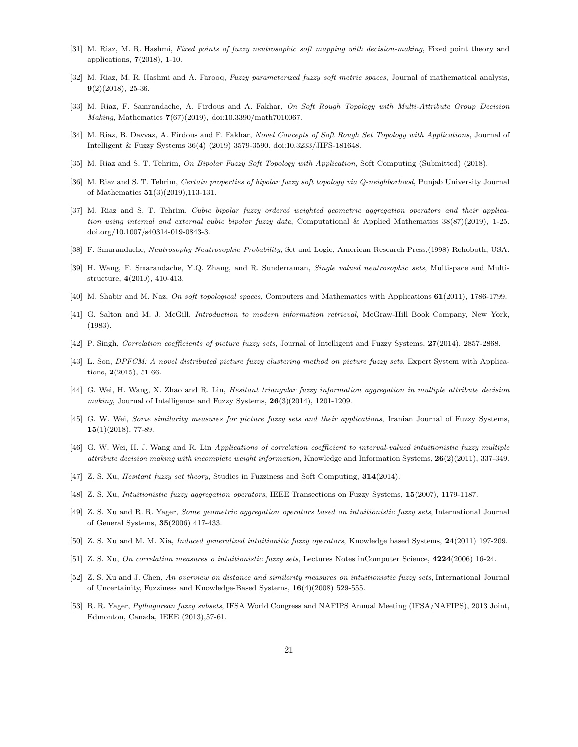- [31] M. Riaz, M. R. Hashmi, Fixed points of fuzzy neutrosophic soft mapping with decision-making, Fixed point theory and applications, 7(2018), 1-10.
- [32] M. Riaz, M. R. Hashmi and A. Farooq, Fuzzy parameterized fuzzy soft metric spaces, Journal of mathematical analysis,  $9(2)(2018)$ , 25-36.
- [33] M. Riaz, F. Samrandache, A. Firdous and A. Fakhar, On Soft Rough Topology with Multi-Attribute Group Decision Making, Mathematics 7(67)(2019), doi:10.3390/math7010067.
- [34] M. Riaz, B. Davvaz, A. Firdous and F. Fakhar, Novel Concepts of Soft Rough Set Topology with Applications, Journal of Intelligent & Fuzzy Systems 36(4) (2019) 3579-3590. doi:10.3233/JIFS-181648.
- [35] M. Riaz and S. T. Tehrim, On Bipolar Fuzzy Soft Topology with Application, Soft Computing (Submitted) (2018).
- [36] M. Riaz and S. T. Tehrim, Certain properties of bipolar fuzzy soft topology via Q-neighborhood, Punjab University Journal of Mathematics 51(3)(2019),113-131.
- [37] M. Riaz and S. T. Tehrim, Cubic bipolar fuzzy ordered weighted geometric aggregation operators and their application using internal and external cubic bipolar fuzzy data, Computational & Applied Mathematics 38(87)(2019), 1-25. doi.org/10.1007/s40314-019-0843-3.
- [38] F. Smarandache, Neutrosophy Neutrosophic Probability, Set and Logic, American Research Press,(1998) Rehoboth, USA.
- [39] H. Wang, F. Smarandache, Y.Q. Zhang, and R. Sunderraman, Single valued neutrosophic sets, Multispace and Multistructure, 4(2010), 410-413.
- [40] M. Shabir and M. Naz, On soft topological spaces, Computers and Mathematics with Applications 61(2011), 1786-1799.
- [41] G. Salton and M. J. McGill, Introduction to modern information retrieval, McGraw-Hill Book Company, New York, (1983).
- [42] P. Singh, Correlation coefficients of picture fuzzy sets, Journal of Intelligent and Fuzzy Systems, 27(2014), 2857-2868.
- [43] L. Son, DPFCM: A novel distributed picture fuzzy clustering method on picture fuzzy sets, Expert System with Applications, 2(2015), 51-66.
- [44] G. Wei, H. Wang, X. Zhao and R. Lin, Hesitant triangular fuzzy information aggregation in multiple attribute decision making, Journal of Intelligence and Fuzzy Systems, 26(3)(2014), 1201-1209.
- [45] G. W. Wei, Some similarity measures for picture fuzzy sets and their applications, Iranian Journal of Fuzzy Systems,  $15(1)(2018)$ , 77-89.
- [46] G. W. Wei, H. J. Wang and R. Lin Applications of correlation coefficient to interval-valued intuitionistic fuzzy multiple attribute decision making with incomplete weight information, Knowledge and Information Systems,  $26(2)(2011)$ , 337-349.
- [47] Z. S. Xu, Hesitant fuzzy set theory, Studies in Fuzziness and Soft Computing, 314(2014).
- [48] Z. S. Xu, Intuitionistic fuzzy aggregation operators, IEEE Transections on Fuzzy Systems, 15(2007), 1179-1187.
- [49] Z. S. Xu and R. R. Yager, Some geometric aggregation operators based on intuitionistic fuzzy sets, International Journal of General Systems, 35(2006) 417-433.
- [50] Z. S. Xu and M. M. Xia, Induced generalized intuitionitic fuzzy operators, Knowledge based Systems, 24(2011) 197-209.
- [51] Z. S. Xu, On correlation measures o intuitionistic fuzzy sets, Lectures Notes inComputer Science, 4224(2006) 16-24.
- [52] Z. S. Xu and J. Chen, An overview on distance and similarity measures on intuitionistic fuzzy sets, International Journal of Uncertainity, Fuzziness and Knowledge-Based Systems,  $16(4)(2008)$  529-555.
- [53] R. R. Yager, Pythagorean fuzzy subsets, IFSA World Congress and NAFIPS Annual Meeting (IFSA/NAFIPS), 2013 Joint, Edmonton, Canada, IEEE (2013),57-61.